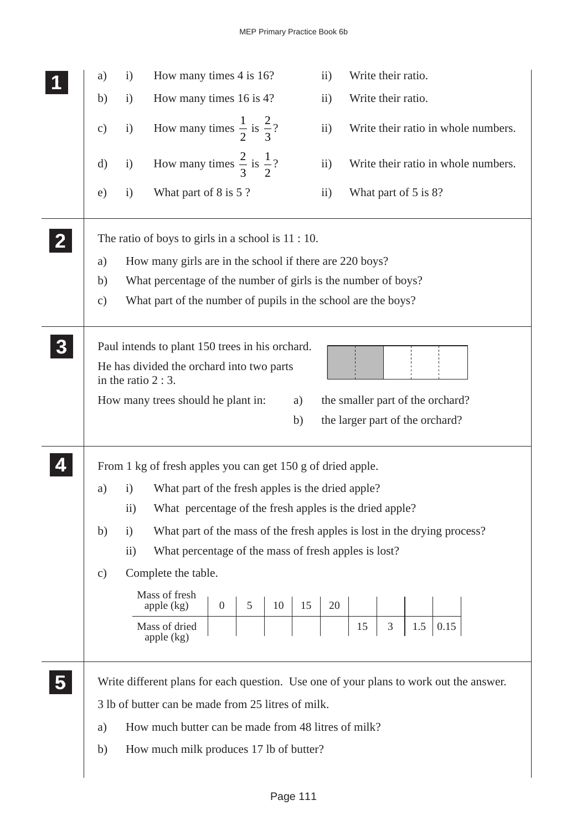|              | a)            | $\mathbf{i}$         | How many times 4 is 16?                                                                                                            |                |                 |    |          | $\ddot{\mathbf{i}}$ | Write their ratio.   |                |     |                                  |                                     |  |
|--------------|---------------|----------------------|------------------------------------------------------------------------------------------------------------------------------------|----------------|-----------------|----|----------|---------------------|----------------------|----------------|-----|----------------------------------|-------------------------------------|--|
|              | b)            | $\mathbf{i}$         | How many times 16 is 4?                                                                                                            |                |                 |    |          | $\rm ii)$           | Write their ratio.   |                |     |                                  |                                     |  |
|              | $\mathbf{c})$ | $\mathbf{i}$         | How many times $\frac{1}{2}$ is $\frac{2}{3}$ ?                                                                                    |                |                 |    |          | $\rm ii)$           |                      |                |     |                                  | Write their ratio in whole numbers. |  |
|              | $\rm d)$      | $\mathbf{i}$         | How many times $\frac{2}{3}$ is $\frac{1}{2}$ ?                                                                                    |                |                 |    |          | $\ddot{\mathbf{i}}$ |                      |                |     |                                  | Write their ratio in whole numbers. |  |
|              | e)            | $\mathbf{i}$         | What part of 8 is 5 ?                                                                                                              |                |                 |    |          | $\rm ii)$           | What part of 5 is 8? |                |     |                                  |                                     |  |
| $\mathbf{2}$ |               |                      | The ratio of boys to girls in a school is $11:10$ .                                                                                |                |                 |    |          |                     |                      |                |     |                                  |                                     |  |
|              | a)            |                      | How many girls are in the school if there are 220 boys?                                                                            |                |                 |    |          |                     |                      |                |     |                                  |                                     |  |
|              | b)            |                      | What percentage of the number of girls is the number of boys?                                                                      |                |                 |    |          |                     |                      |                |     |                                  |                                     |  |
|              | $\mathbf{c})$ |                      | What part of the number of pupils in the school are the boys?                                                                      |                |                 |    |          |                     |                      |                |     |                                  |                                     |  |
|              |               | in the ratio $2:3$ . | Paul intends to plant 150 trees in his orchard.<br>He has divided the orchard into two parts<br>How many trees should he plant in: |                |                 |    |          |                     |                      |                |     | the smaller part of the orchard? |                                     |  |
|              |               |                      |                                                                                                                                    |                |                 |    | a)<br>b) |                     |                      |                |     | the larger part of the orchard?  |                                     |  |
|              |               |                      | From 1 kg of fresh apples you can get 150 g of dried apple.                                                                        |                |                 |    |          |                     |                      |                |     |                                  |                                     |  |
|              | a)            | $\rm i)$             | What part of the fresh apples is the dried apple?                                                                                  |                |                 |    |          |                     |                      |                |     |                                  |                                     |  |
|              |               | 11)                  | What percentage of the fresh apples is the dried apple?                                                                            |                |                 |    |          |                     |                      |                |     |                                  |                                     |  |
|              | b)            | $\mathbf{i}$         | What part of the mass of the fresh apples is lost in the drying process?                                                           |                |                 |    |          |                     |                      |                |     |                                  |                                     |  |
|              |               | $\rm ii)$            | What percentage of the mass of fresh apples is lost?                                                                               |                |                 |    |          |                     |                      |                |     |                                  |                                     |  |
|              | $\mathbf{c})$ |                      | Complete the table.                                                                                                                |                |                 |    |          |                     |                      |                |     |                                  |                                     |  |
|              |               |                      | Mass of fresh                                                                                                                      |                |                 |    |          |                     |                      |                |     |                                  |                                     |  |
|              |               |                      | apple $(kg)$                                                                                                                       | $\overline{0}$ | $5\overline{)}$ | 10 | 15       | 20                  |                      |                |     |                                  |                                     |  |
|              |               |                      | Mass of dried<br>apple $(kg)$                                                                                                      |                |                 |    |          |                     | 15                   | $\mathfrak{Z}$ | 1.5 | 0.15                             |                                     |  |
|              |               |                      | Write different plans for each question. Use one of your plans to work out the answer.                                             |                |                 |    |          |                     |                      |                |     |                                  |                                     |  |
|              |               |                      | 3 lb of butter can be made from 25 litres of milk.                                                                                 |                |                 |    |          |                     |                      |                |     |                                  |                                     |  |
|              | a)            |                      | How much butter can be made from 48 litres of milk?                                                                                |                |                 |    |          |                     |                      |                |     |                                  |                                     |  |
|              | b)            |                      | How much milk produces 17 lb of butter?                                                                                            |                |                 |    |          |                     |                      |                |     |                                  |                                     |  |
|              |               |                      |                                                                                                                                    |                |                 |    |          |                     |                      |                |     |                                  |                                     |  |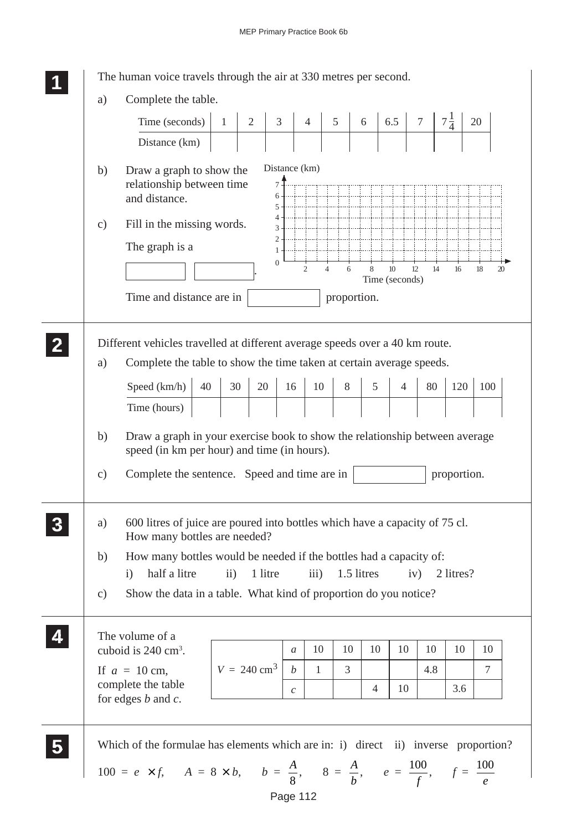|                     | Time (seconds)                                                                                                             |    | $\mathbf{1}$        | $\overline{2}$         | 3                                                        | $\overline{4}$                   | $5\overline{)}$  | 6  | 6.5                                | $\overline{7}$ | $7\frac{1}{4}$ |     | 20  |
|---------------------|----------------------------------------------------------------------------------------------------------------------------|----|---------------------|------------------------|----------------------------------------------------------|----------------------------------|------------------|----|------------------------------------|----------------|----------------|-----|-----|
|                     | Distance (km)                                                                                                              |    |                     |                        |                                                          |                                  |                  |    |                                    |                |                |     |     |
| b)<br>$\mathbf{c})$ | Draw a graph to show the<br>relationship between time<br>and distance.<br>Fill in the missing words.<br>The graph is a     |    |                     | 1                      | Distance (km)<br>$\overline{7}$<br>6<br>5<br>4<br>3<br>2 |                                  |                  |    |                                    |                |                |     |     |
|                     | Time and distance are in                                                                                                   |    |                     | $\boldsymbol{0}$       |                                                          | $\overline{c}$<br>$\overline{4}$ | 6<br>proportion. | 8  | 10 <sup>10</sup><br>Time (seconds) | 12<br>14       |                | 16  | 18  |
|                     | Different vehicles travelled at different average speeds over a 40 km route.                                               |    |                     |                        |                                                          |                                  |                  |    |                                    |                |                |     |     |
| a)                  | Complete the table to show the time taken at certain average speeds.                                                       |    |                     |                        |                                                          |                                  |                  |    |                                    |                |                |     |     |
|                     | Speed (km/h)                                                                                                               | 40 | 30                  | 20                     | 16                                                       | 10                               | 8                | 5  | 4                                  | 80             |                | 120 | 100 |
|                     | Time (hours)                                                                                                               |    |                     |                        |                                                          |                                  |                  |    |                                    |                |                |     |     |
| b)                  | Draw a graph in your exercise book to show the relationship between average<br>speed (in km per hour) and time (in hours). |    |                     |                        |                                                          |                                  |                  |    |                                    |                |                |     |     |
|                     |                                                                                                                            |    |                     |                        |                                                          |                                  |                  |    |                                    |                |                |     |     |
| $\mathbf{c})$       | Complete the sentence. Speed and time are in                                                                               |    |                     |                        |                                                          |                                  |                  |    |                                    |                | proportion.    |     |     |
| a)                  | 600 litres of juice are poured into bottles which have a capacity of 75 cl.<br>How many bottles are needed?                |    |                     |                        |                                                          |                                  |                  |    |                                    |                |                |     |     |
| b)                  | How many bottles would be needed if the bottles had a capacity of:                                                         |    |                     |                        |                                                          |                                  |                  |    |                                    |                |                |     |     |
| $\mathbf{c})$       | half a litre<br>$\mathbf{i}$<br>Show the data in a table. What kind of proportion do you notice?                           |    | $\ddot{\mathbf{i}}$ | 1 litre                |                                                          | iii)                             | 1.5 litres       |    |                                    | iv)            | 2 litres?      |     |     |
|                     | The volume of a                                                                                                            |    |                     |                        |                                                          |                                  |                  |    |                                    |                |                |     |     |
|                     | cuboid is 240 cm <sup>3</sup> .                                                                                            |    |                     | $V = 240 \text{ cm}^3$ | $\mathfrak{a}$                                           | 10                               | 10               | 10 | 10                                 | 10             |                | 10  | 10  |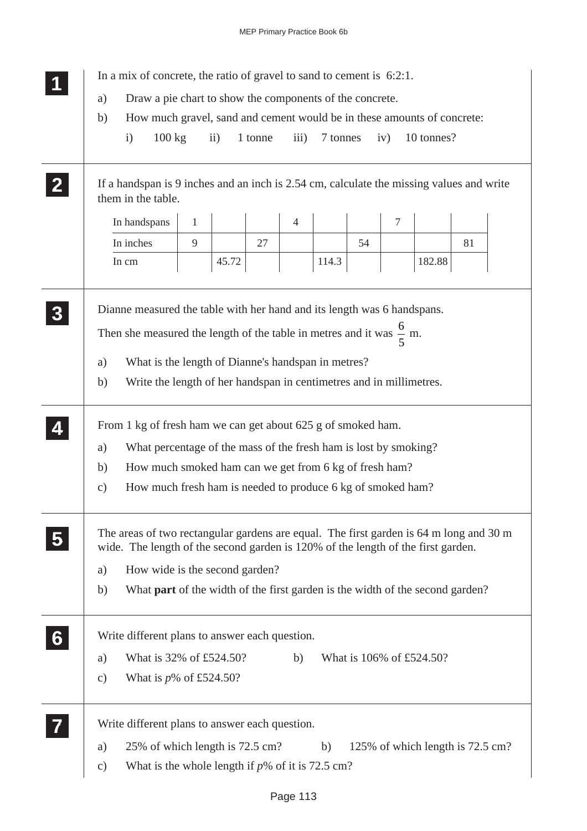|                         | In a mix of concrete, the ratio of gravel to sand to cement is $6:2:1$ .                                                                                                                                                                                                                                         |
|-------------------------|------------------------------------------------------------------------------------------------------------------------------------------------------------------------------------------------------------------------------------------------------------------------------------------------------------------|
|                         | Draw a pie chart to show the components of the concrete.<br>a)                                                                                                                                                                                                                                                   |
|                         | How much gravel, sand and cement would be in these amounts of concrete:<br>b)                                                                                                                                                                                                                                    |
|                         | $100 \text{ kg}$<br>$\rm ii)$<br>1 tonne<br>iii)<br>7 tonnes<br>iv)<br>10 tonnes?<br>$\mathbf{i}$                                                                                                                                                                                                                |
|                         | If a handspan is 9 inches and an inch is 2.54 cm, calculate the missing values and write<br>them in the table.                                                                                                                                                                                                   |
|                         | $\overline{7}$<br>In handspans<br>$\mathbf{1}$<br>$\overline{4}$                                                                                                                                                                                                                                                 |
|                         | In inches<br>9<br>27<br>54<br>81                                                                                                                                                                                                                                                                                 |
|                         | In cm<br>45.72<br>114.3<br>182.88                                                                                                                                                                                                                                                                                |
|                         | Dianne measured the table with her hand and its length was 6 handspans.<br>Then she measured the length of the table in metres and it was $\frac{6}{5}$ m.<br>What is the length of Dianne's handspan in metres?<br>a)<br>Write the length of her handspan in centimetres and in millimetres.<br>b)              |
|                         | From 1 kg of fresh ham we can get about 625 g of smoked ham.<br>What percentage of the mass of the fresh ham is lost by smoking?<br>a)<br>How much smoked ham can we get from 6 kg of fresh ham?<br>b)<br>How much fresh ham is needed to produce 6 kg of smoked ham?<br>$\mathbf{c})$                           |
| $\overline{\mathbf{5}}$ | The areas of two rectangular gardens are equal. The first garden is 64 m long and 30 m<br>wide. The length of the second garden is 120% of the length of the first garden.<br>How wide is the second garden?<br>a)<br>What <b>part</b> of the width of the first garden is the width of the second garden?<br>b) |
| 6                       | Write different plans to answer each question.<br>What is 32% of £524.50?<br>What is 106% of £524.50?<br>b)<br>a)<br>What is $p\%$ of £524.50?<br>$\mathbf{c})$                                                                                                                                                  |
|                         | Write different plans to answer each question.<br>25% of which length is 72.5 cm?<br>125% of which length is 72.5 cm?<br>b)<br>a)<br>What is the whole length if $p\%$ of it is 72.5 cm?<br>c)                                                                                                                   |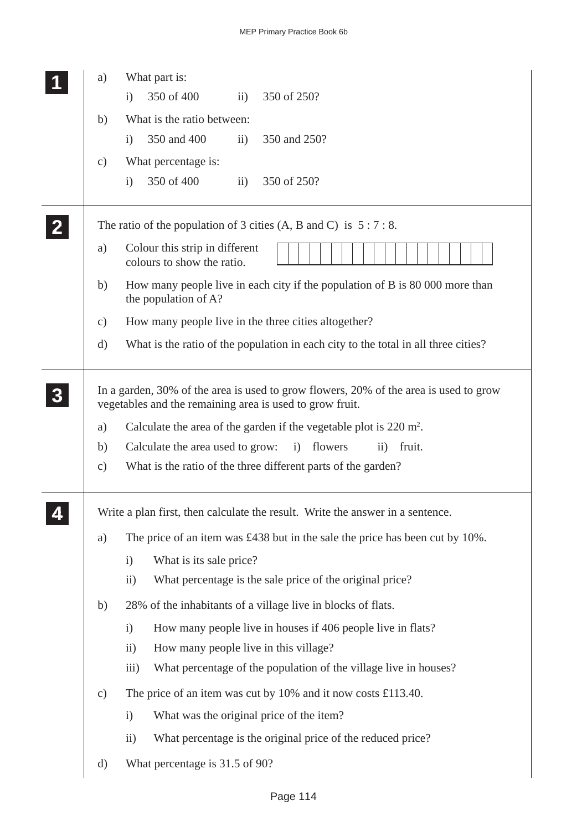|              | a)            | What part is:                                                                                                                                     |
|--------------|---------------|---------------------------------------------------------------------------------------------------------------------------------------------------|
|              |               | 350 of 400<br>350 of 250?<br>$\mathbf{ii}$<br>$\mathbf{i}$                                                                                        |
|              | b)            | What is the ratio between:                                                                                                                        |
|              |               | 350 and 400<br>350 and 250?<br>$\overline{ii}$ )<br>$\mathbf{i}$                                                                                  |
|              | $\mathbf{c})$ | What percentage is:                                                                                                                               |
|              |               | 350 of 400<br>350 of 250?<br>$\mathbf{ii}$<br>$\mathbf{i}$                                                                                        |
| $\mathbf{2}$ |               | The ratio of the population of 3 cities $(A, B \text{ and } C)$ is $5:7:8$ .                                                                      |
|              | a)            | Colour this strip in different<br>colours to show the ratio.                                                                                      |
|              | b)            | How many people live in each city if the population of B is 80 000 more than<br>the population of A?                                              |
|              | $\mathbf{c})$ | How many people live in the three cities altogether?                                                                                              |
|              | $\mathbf{d}$  | What is the ratio of the population in each city to the total in all three cities?                                                                |
|              |               | In a garden, 30% of the area is used to grow flowers, 20% of the area is used to grow<br>vegetables and the remaining area is used to grow fruit. |
|              | a)            | Calculate the area of the garden if the vegetable plot is $220 \text{ m}^2$ .                                                                     |
|              | b)            | Calculate the area used to grow:<br>flowers<br>$\ddot{\mathrm{11}})$<br>fruit.<br>i)                                                              |
|              | $\mathbf{c})$ | What is the ratio of the three different parts of the garden?                                                                                     |
|              |               | Write a plan first, then calculate the result. Write the answer in a sentence.                                                                    |
|              | a)            | The price of an item was £438 but in the sale the price has been cut by 10%.                                                                      |
|              |               | What is its sale price?<br>$\mathbf{i}$                                                                                                           |
|              |               | What percentage is the sale price of the original price?<br>$\ddot{i}$                                                                            |
|              | b)            | 28% of the inhabitants of a village live in blocks of flats.                                                                                      |
|              |               | How many people live in houses if 406 people live in flats?<br>$\mathbf{i}$                                                                       |
|              |               | ii)<br>How many people live in this village?                                                                                                      |
|              |               | $\overline{111}$ )<br>What percentage of the population of the village live in houses?                                                            |
|              | $\mathbf{c})$ | The price of an item was cut by $10\%$ and it now costs £113.40.                                                                                  |
|              |               | What was the original price of the item?<br>$\mathbf{i}$                                                                                          |
|              |               | ii)<br>What percentage is the original price of the reduced price?                                                                                |
|              | $\rm d)$      | What percentage is 31.5 of 90?                                                                                                                    |
|              |               |                                                                                                                                                   |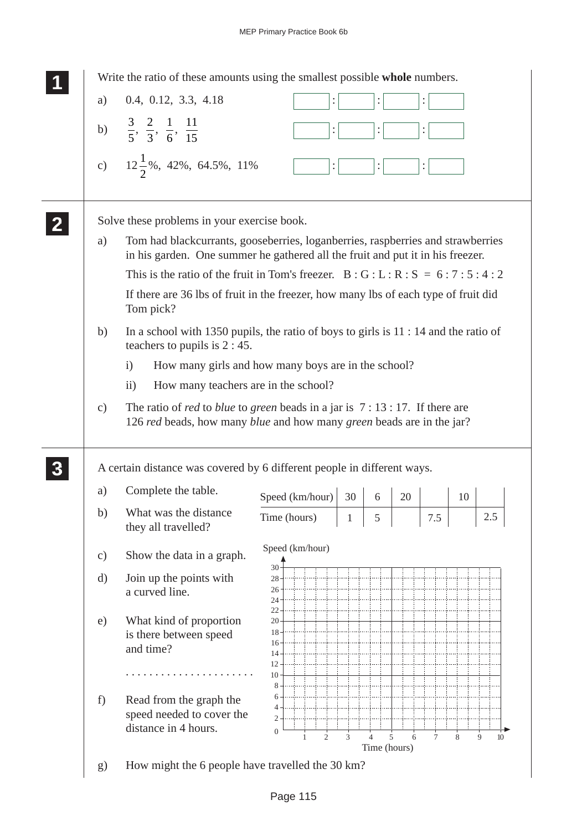| a)              | 0.4, 0.12, 3.3, 4.18                                                                                                                                                       | $\ddot{\cdot}$                                                                              |   |                |        |                |    |         |
|-----------------|----------------------------------------------------------------------------------------------------------------------------------------------------------------------------|---------------------------------------------------------------------------------------------|---|----------------|--------|----------------|----|---------|
|                 | b) $\frac{3}{5}, \frac{2}{3}, \frac{1}{6}, \frac{11}{15}$                                                                                                                  | :                                                                                           |   |                |        |                |    |         |
|                 | c) $12\frac{1}{2}\%$ , 42%, 64.5%, 11%                                                                                                                                     | $\ddot{\cdot}$                                                                              |   |                |        | $\ddot{\cdot}$ |    |         |
|                 | Solve these problems in your exercise book.                                                                                                                                |                                                                                             |   |                |        |                |    |         |
| a)              | Tom had blackcurrants, gooseberries, loganberries, raspberries and strawberries<br>in his garden. One summer he gathered all the fruit and put it in his freezer.          |                                                                                             |   |                |        |                |    |         |
|                 | This is the ratio of the fruit in Tom's freezer. $B : G : L : R : S = 6 : 7 : 5 : 4 : 2$                                                                                   |                                                                                             |   |                |        |                |    |         |
|                 | If there are 36 lbs of fruit in the freezer, how many lbs of each type of fruit did<br>Tom pick?                                                                           |                                                                                             |   |                |        |                |    |         |
| b)              | In a school with 1350 pupils, the ratio of boys to girls is $11 : 14$ and the ratio of<br>teachers to pupils is $2:45$ .                                                   |                                                                                             |   |                |        |                |    |         |
|                 | How many girls and how many boys are in the school?<br>$\mathbf{i}$                                                                                                        |                                                                                             |   |                |        |                |    |         |
|                 | How many teachers are in the school?<br>$\rm ii)$                                                                                                                          |                                                                                             |   |                |        |                |    |         |
|                 |                                                                                                                                                                            |                                                                                             |   |                |        |                |    |         |
| $\mathcal{C}$ ) | The ratio of <i>red</i> to <i>blue</i> to <i>green</i> beads in a jar is $7:13:17$ . If there are<br>126 red beads, how many blue and how many green beads are in the jar? |                                                                                             |   |                |        |                |    |         |
|                 | A certain distance was covered by 6 different people in different ways.                                                                                                    |                                                                                             |   |                |        |                |    |         |
| a)              | Complete the table.                                                                                                                                                        |                                                                                             |   |                |        |                | 10 |         |
| b)              | What was the distance<br>they all travelled?                                                                                                                               | Speed (km/hour) $\begin{array}{ c c c } \hline 30 & 6 \\\hline \end{array}$<br>Time (hours) | 1 | 5              | 20     | 7.5            |    | 2.5     |
| $\mathbf{c})$   | Show the data in a graph.                                                                                                                                                  | Speed (km/hour)                                                                             |   |                |        |                |    |         |
| d)              | Join up the points with                                                                                                                                                    | 30<br>28                                                                                    |   |                |        |                |    |         |
|                 | a curved line.                                                                                                                                                             | 26<br>24                                                                                    |   |                |        |                |    |         |
|                 |                                                                                                                                                                            | 22<br>20                                                                                    |   |                |        |                |    |         |
| e)              | What kind of proportion<br>is there between speed                                                                                                                          | 18                                                                                          |   |                |        |                |    |         |
|                 | and time?                                                                                                                                                                  | 16<br>14                                                                                    |   |                |        |                |    |         |
|                 |                                                                                                                                                                            | $12 -$                                                                                      |   |                |        |                |    |         |
|                 |                                                                                                                                                                            | 10<br>8                                                                                     |   |                |        |                |    |         |
| f)              | Read from the graph the                                                                                                                                                    | 6                                                                                           |   |                |        |                |    |         |
|                 | speed needed to cover the                                                                                                                                                  | 4<br>2                                                                                      |   |                |        |                |    |         |
|                 | distance in 4 hours.                                                                                                                                                       | $\mathbf{0}$<br>$\overline{c}$                                                              | 3 | $\overline{4}$ | 5<br>6 | 7              | 8  | 9<br>10 |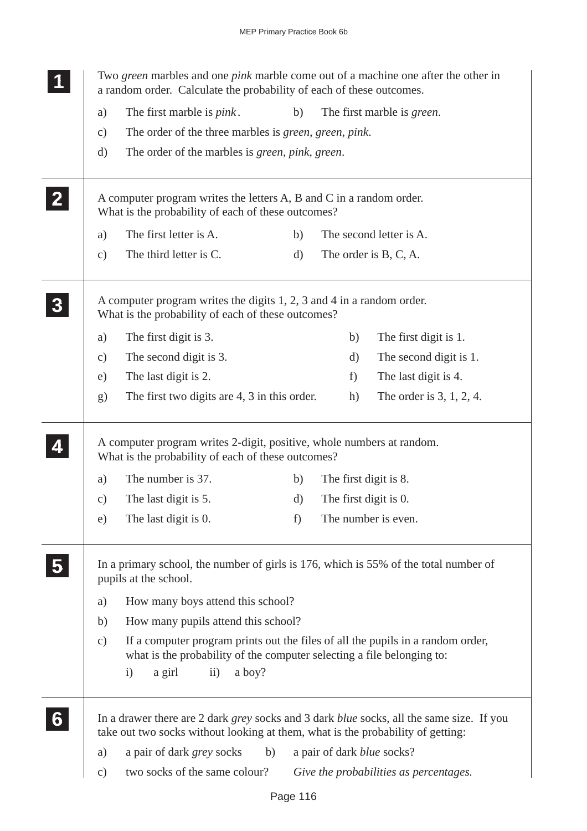|               | Two green marbles and one pink marble come out of a machine one after the other in<br>a random order. Calculate the probability of each of these outcomes.                                |    |                                   |                                        |
|---------------|-------------------------------------------------------------------------------------------------------------------------------------------------------------------------------------------|----|-----------------------------------|----------------------------------------|
| a)            | The first marble is <i>pink</i> .                                                                                                                                                         | b) |                                   | The first marble is green.             |
| $\mathbf{c})$ | The order of the three marbles is <i>green</i> , <i>green</i> , <i>pink</i> .                                                                                                             |    |                                   |                                        |
| d)            | The order of the marbles is <i>green</i> , <i>pink</i> , <i>green</i> .                                                                                                                   |    |                                   |                                        |
|               | A computer program writes the letters A, B and C in a random order.<br>What is the probability of each of these outcomes?                                                                 |    |                                   |                                        |
| a)            | The first letter is A.                                                                                                                                                                    | b) |                                   | The second letter is A.                |
| $\mathbf{c})$ | The third letter is C.                                                                                                                                                                    | d) |                                   | The order is B, C, A.                  |
|               | A computer program writes the digits 1, 2, 3 and 4 in a random order.<br>What is the probability of each of these outcomes?                                                               |    |                                   |                                        |
| a)            | The first digit is 3.                                                                                                                                                                     |    | b)                                | The first digit is 1.                  |
| $\mathbf{c})$ | The second digit is 3.                                                                                                                                                                    |    | d)                                | The second digit is 1.                 |
| e)            | The last digit is 2.                                                                                                                                                                      |    | f                                 | The last digit is 4.                   |
| g)            | The first two digits are 4, 3 in this order.                                                                                                                                              |    | h)                                | The order is $3, 1, 2, 4$ .            |
|               | A computer program writes 2-digit, positive, whole numbers at random.<br>What is the probability of each of these outcomes?                                                               |    |                                   |                                        |
| a)            | The number is 37.                                                                                                                                                                         | b) | The first digit is 8.             |                                        |
| $\mathbf{c})$ | The last digit is 5.                                                                                                                                                                      | d) | The first digit is 0.             |                                        |
| e)            | The last digit is 0.                                                                                                                                                                      | f) | The number is even.               |                                        |
|               | In a primary school, the number of girls is 176, which is 55% of the total number of<br>pupils at the school.                                                                             |    |                                   |                                        |
| a)            | How many boys attend this school?                                                                                                                                                         |    |                                   |                                        |
| b)            | How many pupils attend this school?                                                                                                                                                       |    |                                   |                                        |
| $\mathbf{c})$ | If a computer program prints out the files of all the pupils in a random order,<br>what is the probability of the computer selecting a file belonging to:                                 |    |                                   |                                        |
| $\mathbf{i}$  | a boy?<br>a girl<br>$\mathbf{ii}$                                                                                                                                                         |    |                                   |                                        |
|               | In a drawer there are 2 dark <i>grey</i> socks and 3 dark <i>blue</i> socks, all the same size. If you<br>take out two socks without looking at them, what is the probability of getting: |    |                                   |                                        |
| a)            | a pair of dark <i>grey</i> socks<br>b)                                                                                                                                                    |    | a pair of dark <i>blue</i> socks? |                                        |
| $\mathbf{c})$ | two socks of the same colour?                                                                                                                                                             |    |                                   | Give the probabilities as percentages. |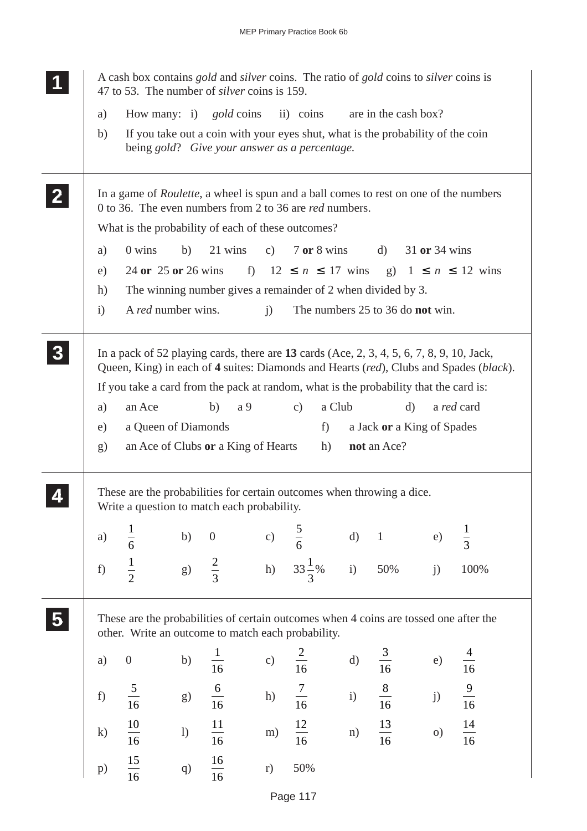|                          | A cash box contains <i>gold</i> and <i>silver</i> coins. The ratio of <i>gold</i> coins to <i>silver</i> coins is<br>47 to 53. The number of <i>silver</i> coins is 159.                       |                           |                                                                                                                                  |            |                                                    |              |                                                           |               |                                                                                                      |
|--------------------------|------------------------------------------------------------------------------------------------------------------------------------------------------------------------------------------------|---------------------------|----------------------------------------------------------------------------------------------------------------------------------|------------|----------------------------------------------------|--------------|-----------------------------------------------------------|---------------|------------------------------------------------------------------------------------------------------|
| a)                       |                                                                                                                                                                                                |                           | How many: i) gold coins                                                                                                          |            | ii) coins                                          |              | are in the cash box?                                      |               |                                                                                                      |
| b)                       |                                                                                                                                                                                                |                           | If you take out a coin with your eyes shut, what is the probability of the coin<br>being gold? Give your answer as a percentage. |            |                                                    |              |                                                           |               |                                                                                                      |
| $\mathbf{2}$             | In a game of <i>Roulette</i> , a wheel is spun and a ball comes to rest on one of the numbers<br>0 to 36. The even numbers from 2 to 36 are <i>red</i> numbers.                                |                           |                                                                                                                                  |            |                                                    |              |                                                           |               |                                                                                                      |
|                          | What is the probability of each of these outcomes?                                                                                                                                             |                           |                                                                                                                                  |            |                                                    |              |                                                           |               |                                                                                                      |
| a)                       | 0 wins                                                                                                                                                                                         | b)                        | 21 wins                                                                                                                          | c)         | 7 or 8 wins                                        |              | d)                                                        | 31 or 34 wins |                                                                                                      |
| e)                       |                                                                                                                                                                                                | 24 or 25 or 26 wins       |                                                                                                                                  |            | f) $12 \le n \le 17$ wins g) $1 \le n \le 12$ wins |              |                                                           |               |                                                                                                      |
| h)                       |                                                                                                                                                                                                |                           | The winning number gives a remainder of 2 when divided by 3.                                                                     |            |                                                    |              |                                                           |               |                                                                                                      |
| $\mathbf{i}$             |                                                                                                                                                                                                | A <i>red</i> number wins. |                                                                                                                                  | $\ddot{1}$ | The numbers 25 to 36 do <b>not</b> win.            |              |                                                           |               |                                                                                                      |
| a)<br>e)<br>$\mathbf{g}$ | In a pack of 52 playing cards, there are 13 cards $(Ace, 2, 3, 4, 5, 6, 7, 8, 9, 10, Jack,$<br>If you take a card from the pack at random, what is the probability that the card is:<br>an Ace | a Queen of Diamonds       | b)<br>a 9<br>an Ace of Clubs or a King of Hearts                                                                                 |            | a Club<br>c)<br>f)<br>h)                           |              | $\mathbf{d}$<br>a Jack or a King of Spades<br>not an Ace? |               | Queen, King) in each of 4 suites: Diamonds and Hearts (red), Clubs and Spades (black).<br>a red card |
|                          | These are the probabilities for certain outcomes when throwing a dice.<br>Write a question to match each probability.                                                                          |                           |                                                                                                                                  |            |                                                    |              |                                                           |               |                                                                                                      |
| a)                       | $\frac{1}{6}$                                                                                                                                                                                  | b)                        | $\boldsymbol{0}$                                                                                                                 | c)         | $\frac{5}{6}$                                      | $\mathbf{d}$ | $\mathbf{1}$                                              | e)            | $\frac{1}{3}$                                                                                        |
| f)                       | $\frac{1}{2}$                                                                                                                                                                                  | $\mathrm{g})$             | $\frac{2}{3}$                                                                                                                    | h)         | $33\frac{1}{3}\%$                                  | i)           | 50%                                                       | j)            | 100%                                                                                                 |
|                          | These are the probabilities of certain outcomes when 4 coins are tossed one after the<br>other. Write an outcome to match each probability.                                                    |                           |                                                                                                                                  |            |                                                    |              |                                                           |               |                                                                                                      |
| a)                       | $\boldsymbol{0}$                                                                                                                                                                               | b)                        | $\frac{1}{16}$                                                                                                                   | c)         | $\frac{2}{16}$                                     | $\mathbf{d}$ | $\frac{3}{16}$                                            | e)            | $\frac{4}{16}$                                                                                       |
| f)                       | $\frac{5}{16}$                                                                                                                                                                                 | g)                        | $\frac{6}{16}$                                                                                                                   | h)         | $\frac{7}{16}$                                     | i)           | $\frac{8}{16}$                                            | j)            | $\frac{9}{16}$                                                                                       |
| $\mathbf{k}$             | $\frac{10}{16}$                                                                                                                                                                                | 1)                        | $\frac{11}{16}$                                                                                                                  | m)         | $\frac{12}{16}$                                    | n)           | $\frac{13}{16}$                                           | $\circ$ )     | 14<br>$\frac{1}{16}$                                                                                 |
| p)                       | $\frac{15}{16}$                                                                                                                                                                                | q)                        | $\frac{16}{16}$                                                                                                                  | r)         | 50%                                                |              |                                                           |               |                                                                                                      |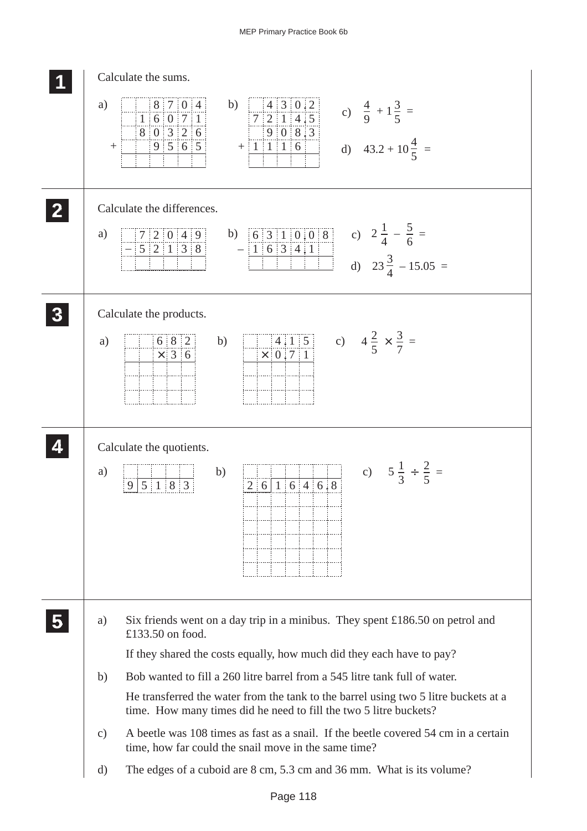|                 | Calculate the sums.                                                                                                                                                                                                             |
|-----------------|---------------------------------------------------------------------------------------------------------------------------------------------------------------------------------------------------------------------------------|
| a)<br>$+$       | 8 7 0 4<br>$\frac{4}{7}$ $\frac{3}{2}$ $\frac{0}{1}$ $\frac{2}{4}$ $\frac{1}{5}$<br>b)<br>c) $\frac{4}{9} + 1\frac{3}{5} =$<br>1   6   0   7   1<br>8 0 3 2 6<br>908.3<br>d) $43.2 + 10\frac{4}{5}$ =<br>$+$ 1 1 1 6<br>9 5 6 5 |
|                 | Calculate the differences.                                                                                                                                                                                                      |
| a)              | b) $\frac{63110.08}{1634.1}$ c) $2\frac{1}{4} - \frac{5}{6} =$<br>d) $23\frac{3}{4} - 15.05 =$<br>7 2 0 4 9 <br>$-52138$                                                                                                        |
|                 | Calculate the products.                                                                                                                                                                                                         |
| a)              | 6 8 2<br>b)<br>$\times$ 36                                                                                                                                                                                                      |
|                 |                                                                                                                                                                                                                                 |
|                 | Calculate the quotients.                                                                                                                                                                                                        |
| a)              | c) $5\frac{1}{3} \div \frac{2}{5} =$<br>b)<br>2   6   1   6   4   6   8<br>$5 \mid 1 \mid 8 \mid 3$<br>9                                                                                                                        |
| a)              | Six friends went on a day trip in a minibus. They spent £186.50 on petrol and                                                                                                                                                   |
|                 | £133.50 on food.<br>If they shared the costs equally, how much did they each have to pay?                                                                                                                                       |
| b)              | Bob wanted to fill a 260 litre barrel from a 545 litre tank full of water.                                                                                                                                                      |
|                 | He transferred the water from the tank to the barrel using two 5 litre buckets at a<br>time. How many times did he need to fill the two 5 litre buckets?                                                                        |
| $\mathcal{C}$ ) | A beetle was 108 times as fast as a snail. If the beetle covered 54 cm in a certain<br>time, how far could the snail move in the same time?                                                                                     |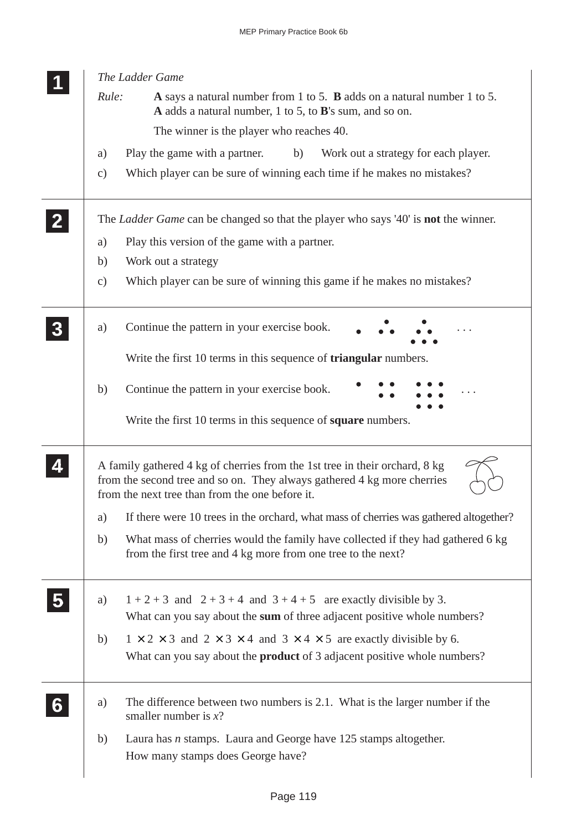| The Ladder Game                                                                                                                                                                                           |
|-----------------------------------------------------------------------------------------------------------------------------------------------------------------------------------------------------------|
| Rule:<br>A says a natural number from 1 to 5. <b>B</b> adds on a natural number 1 to 5.<br>A adds a natural number, 1 to 5, to B's sum, and so on.                                                        |
| The winner is the player who reaches 40.                                                                                                                                                                  |
| Play the game with a partner.<br>b)<br>Work out a strategy for each player.<br>a)                                                                                                                         |
| Which player can be sure of winning each time if he makes no mistakes?<br>$\mathbf{c})$                                                                                                                   |
| The <i>Ladder Game</i> can be changed so that the player who says '40' is <b>not</b> the winner.                                                                                                          |
| Play this version of the game with a partner.<br>a)                                                                                                                                                       |
| Work out a strategy<br>b)                                                                                                                                                                                 |
| Which player can be sure of winning this game if he makes no mistakes?<br>$\mathbf{c})$                                                                                                                   |
| Continue the pattern in your exercise book.<br>a)                                                                                                                                                         |
| Write the first 10 terms in this sequence of <b>triangular</b> numbers.                                                                                                                                   |
| Continue the pattern in your exercise book.<br>b)                                                                                                                                                         |
| Write the first 10 terms in this sequence of <b>square</b> numbers.                                                                                                                                       |
| A family gathered 4 kg of cherries from the 1st tree in their orchard, 8 kg<br>from the second tree and so on. They always gathered 4 kg more cherries<br>from the next tree than from the one before it. |
| If there were 10 trees in the orchard, what mass of cherries was gathered altogether?<br>a)                                                                                                               |
| What mass of cherries would the family have collected if they had gathered 6 kg<br>b)<br>from the first tree and 4 kg more from one tree to the next?                                                     |
| $1+2+3$ and $2+3+4$ and $3+4+5$ are exactly divisible by 3.<br>a)<br>What can you say about the sum of three adjacent positive whole numbers?                                                             |
| $1 \times 2 \times 3$ and $2 \times 3 \times 4$ and $3 \times 4 \times 5$ are exactly divisible by 6.<br>b)<br>What can you say about the <b>product</b> of 3 adjacent positive whole numbers?            |
| The difference between two numbers is 2.1. What is the larger number if the<br>a)<br>smaller number is $x$ ?                                                                                              |
| Laura has $n$ stamps. Laura and George have 125 stamps altogether.<br>b)<br>How many stamps does George have?                                                                                             |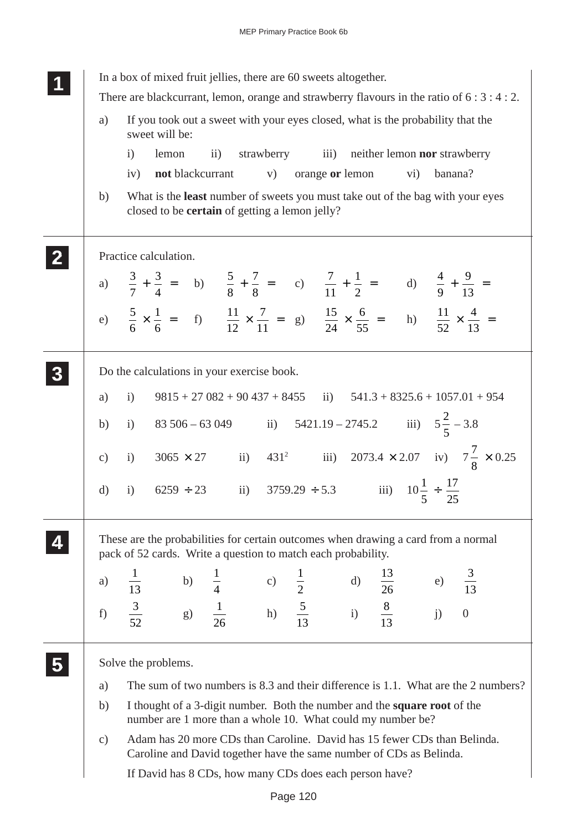|               | In a box of mixed fruit jellies, there are 60 sweets altogether.<br>There are blackcurrant, lemon, orange and strawberry flavours in the ratio of $6:3:4:2$ .        |
|---------------|----------------------------------------------------------------------------------------------------------------------------------------------------------------------|
| a)            | If you took out a sweet with your eyes closed, what is the probability that the<br>sweet will be:                                                                    |
|               | strawberry iii)<br>neither lemon nor strawberry<br>$\overline{ii}$ )<br>$\mathbf{i}$<br>lemon                                                                        |
|               | not blackcurrant<br>orange or lemon<br>banana?<br>iv)<br>V)<br>$\rm vi)$                                                                                             |
| b)            | What is the least number of sweets you must take out of the bag with your eyes<br>closed to be <b>certain</b> of getting a lemon jelly?                              |
|               | Practice calculation.                                                                                                                                                |
|               | a) $\frac{3}{7} + \frac{3}{4} =$ b) $\frac{5}{8} + \frac{7}{8} =$ c) $\frac{7}{11} + \frac{1}{2} =$ d) $\frac{4}{9} + \frac{9}{13} =$                                |
|               | e) $\frac{5}{6} \times \frac{1}{6} =$ f) $\frac{11}{12} \times \frac{7}{11} =$ g) $\frac{15}{24} \times \frac{6}{55} =$ h) $\frac{11}{52} \times \frac{4}{13} =$     |
|               | Do the calculations in your exercise book.                                                                                                                           |
| a)            | $9815 + 27082 + 90437 + 8455$<br>$\overline{ii}$<br>$541.3 + 8325.6 + 1057.01 + 954$<br>$\mathbf{i}$                                                                 |
| b)            | 83 506 - 63 049 ii) $5421.19 - 2745.2$ iii) $5\frac{2}{5} - 3.8$<br>i)                                                                                               |
| $\mathbf{c})$ | 431 <sup>2</sup> iii) 2073.4 × 2.07 iv) $7\frac{7}{8}$ × 0.25<br>$3065 \times 27$ ii)<br>$\mathbf{i}$                                                                |
| $\mathbf{d}$  | iii) $10\frac{1}{5} \div \frac{17}{25}$<br>$6259 \div 23$ ii) $3759.29 \div 5.3$<br>i)                                                                               |
|               | These are the probabilities for certain outcomes when drawing a card from a normal<br>pack of 52 cards. Write a question to match each probability.                  |
| a)            | c) $\frac{1}{2}$ d) $\frac{13}{26}$<br>h) $\frac{5}{13}$ i) $\frac{8}{13}$<br>$\frac{3}{13}$<br>$\binom{b}{g}$<br>$\frac{1}{13}$<br>$\frac{15}{26}$<br>$\frac{1}{4}$ |
| f)            | $e$ )<br>$i$ )<br>$\frac{3}{52}$<br>$\frac{1}{26}$<br>$\overline{0}$                                                                                                 |
|               | Solve the problems.                                                                                                                                                  |
| a)            | The sum of two numbers is 8.3 and their difference is 1.1. What are the 2 numbers?                                                                                   |
| b)            | I thought of a 3-digit number. Both the number and the <b>square root</b> of the<br>number are 1 more than a whole 10. What could my number be?                      |
| $\mathbf{c})$ | Adam has 20 more CDs than Caroline. David has 15 fewer CDs than Belinda.<br>Caroline and David together have the same number of CDs as Belinda.                      |
|               | If David has 8 CDs, how many CDs does each person have?                                                                                                              |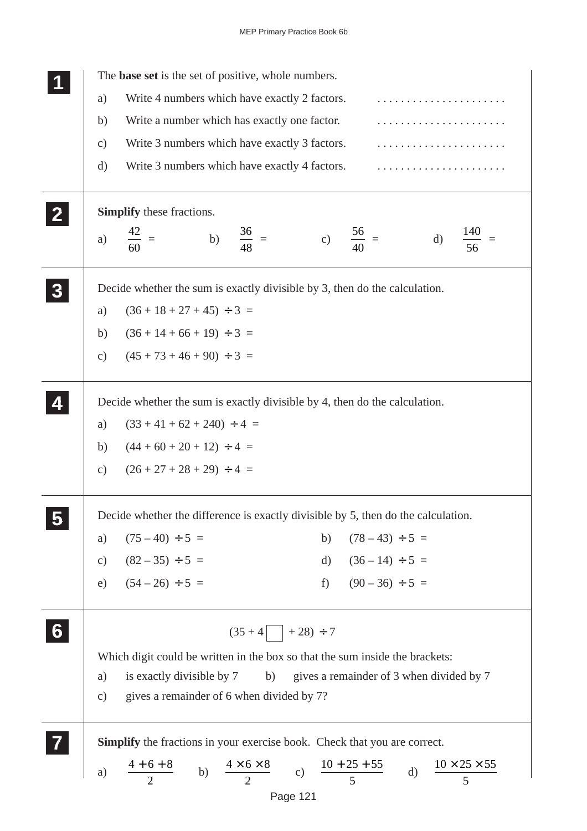| Write 4 numbers which have exactly 2 factors.<br>a)<br>Write a number which has exactly one factor.<br>b)<br>Write 3 numbers which have exactly 3 factors.<br>$\mathbf{c})$<br>Write 3 numbers which have exactly 4 factors.<br>$\rm d)$<br>Simplify these fractions.<br>$\frac{42}{60}$ =<br>b) $\frac{36}{48}$ =<br>c) $\frac{56}{40}$ =<br>$\mathbf{d}$<br>a)<br>56<br>Decide whether the sum is exactly divisible by 3, then do the calculation.<br>$(36 + 18 + 27 + 45) \div 3 =$<br>a)<br>$(36+14+66+19) \div 3 =$<br>b)<br>$(45 + 73 + 46 + 90) \div 3 =$<br>$\mathcal{C}$ )<br>Decide whether the sum is exactly divisible by 4, then do the calculation.<br>$(33 + 41 + 62 + 240) \div 4 =$<br>a)<br>$(44+60+20+12) \div 4 =$<br>b)<br>$(26 + 27 + 28 + 29) \div 4 =$<br>$\mathbf{c})$<br>Decide whether the difference is exactly divisible by 5, then do the calculation.<br>$(75-40) \div 5 =$<br>b) $(78-43) \div 5 =$<br>a)<br>d) $(36-14) \div 5 =$<br>f) $(90-36) \div 5 =$<br>c) $(82-35) \div 5 =$<br>e) $(54-26) \div 5 =$<br>$(35+4$ + 28) ÷ 7<br>Which digit could be written in the box so that the sum inside the brackets:<br>is exactly divisible by 7<br>b) gives a remainder of 3 when divided by 7<br>a)<br>gives a remainder of 6 when divided by 7?<br>c)<br><b>Simplify</b> the fractions in your exercise book. Check that you are correct.<br>a) $\frac{4+6+8}{2}$ b) $\frac{4\times6\times8}{2}$ c) $\frac{10+25+55}{5}$ d) $\frac{10\times25\times55}{5}$ | The base set is the set of positive, whole numbers. |  |
|----------------------------------------------------------------------------------------------------------------------------------------------------------------------------------------------------------------------------------------------------------------------------------------------------------------------------------------------------------------------------------------------------------------------------------------------------------------------------------------------------------------------------------------------------------------------------------------------------------------------------------------------------------------------------------------------------------------------------------------------------------------------------------------------------------------------------------------------------------------------------------------------------------------------------------------------------------------------------------------------------------------------------------------------------------------------------------------------------------------------------------------------------------------------------------------------------------------------------------------------------------------------------------------------------------------------------------------------------------------------------------------------------------------------------------------------------------------------------------------------|-----------------------------------------------------|--|
|                                                                                                                                                                                                                                                                                                                                                                                                                                                                                                                                                                                                                                                                                                                                                                                                                                                                                                                                                                                                                                                                                                                                                                                                                                                                                                                                                                                                                                                                                              |                                                     |  |
|                                                                                                                                                                                                                                                                                                                                                                                                                                                                                                                                                                                                                                                                                                                                                                                                                                                                                                                                                                                                                                                                                                                                                                                                                                                                                                                                                                                                                                                                                              |                                                     |  |
|                                                                                                                                                                                                                                                                                                                                                                                                                                                                                                                                                                                                                                                                                                                                                                                                                                                                                                                                                                                                                                                                                                                                                                                                                                                                                                                                                                                                                                                                                              |                                                     |  |
|                                                                                                                                                                                                                                                                                                                                                                                                                                                                                                                                                                                                                                                                                                                                                                                                                                                                                                                                                                                                                                                                                                                                                                                                                                                                                                                                                                                                                                                                                              |                                                     |  |
|                                                                                                                                                                                                                                                                                                                                                                                                                                                                                                                                                                                                                                                                                                                                                                                                                                                                                                                                                                                                                                                                                                                                                                                                                                                                                                                                                                                                                                                                                              |                                                     |  |
|                                                                                                                                                                                                                                                                                                                                                                                                                                                                                                                                                                                                                                                                                                                                                                                                                                                                                                                                                                                                                                                                                                                                                                                                                                                                                                                                                                                                                                                                                              |                                                     |  |
|                                                                                                                                                                                                                                                                                                                                                                                                                                                                                                                                                                                                                                                                                                                                                                                                                                                                                                                                                                                                                                                                                                                                                                                                                                                                                                                                                                                                                                                                                              |                                                     |  |
|                                                                                                                                                                                                                                                                                                                                                                                                                                                                                                                                                                                                                                                                                                                                                                                                                                                                                                                                                                                                                                                                                                                                                                                                                                                                                                                                                                                                                                                                                              |                                                     |  |
|                                                                                                                                                                                                                                                                                                                                                                                                                                                                                                                                                                                                                                                                                                                                                                                                                                                                                                                                                                                                                                                                                                                                                                                                                                                                                                                                                                                                                                                                                              |                                                     |  |
|                                                                                                                                                                                                                                                                                                                                                                                                                                                                                                                                                                                                                                                                                                                                                                                                                                                                                                                                                                                                                                                                                                                                                                                                                                                                                                                                                                                                                                                                                              |                                                     |  |
|                                                                                                                                                                                                                                                                                                                                                                                                                                                                                                                                                                                                                                                                                                                                                                                                                                                                                                                                                                                                                                                                                                                                                                                                                                                                                                                                                                                                                                                                                              |                                                     |  |
|                                                                                                                                                                                                                                                                                                                                                                                                                                                                                                                                                                                                                                                                                                                                                                                                                                                                                                                                                                                                                                                                                                                                                                                                                                                                                                                                                                                                                                                                                              |                                                     |  |
|                                                                                                                                                                                                                                                                                                                                                                                                                                                                                                                                                                                                                                                                                                                                                                                                                                                                                                                                                                                                                                                                                                                                                                                                                                                                                                                                                                                                                                                                                              |                                                     |  |
|                                                                                                                                                                                                                                                                                                                                                                                                                                                                                                                                                                                                                                                                                                                                                                                                                                                                                                                                                                                                                                                                                                                                                                                                                                                                                                                                                                                                                                                                                              |                                                     |  |
|                                                                                                                                                                                                                                                                                                                                                                                                                                                                                                                                                                                                                                                                                                                                                                                                                                                                                                                                                                                                                                                                                                                                                                                                                                                                                                                                                                                                                                                                                              |                                                     |  |
|                                                                                                                                                                                                                                                                                                                                                                                                                                                                                                                                                                                                                                                                                                                                                                                                                                                                                                                                                                                                                                                                                                                                                                                                                                                                                                                                                                                                                                                                                              |                                                     |  |
|                                                                                                                                                                                                                                                                                                                                                                                                                                                                                                                                                                                                                                                                                                                                                                                                                                                                                                                                                                                                                                                                                                                                                                                                                                                                                                                                                                                                                                                                                              |                                                     |  |
|                                                                                                                                                                                                                                                                                                                                                                                                                                                                                                                                                                                                                                                                                                                                                                                                                                                                                                                                                                                                                                                                                                                                                                                                                                                                                                                                                                                                                                                                                              |                                                     |  |
|                                                                                                                                                                                                                                                                                                                                                                                                                                                                                                                                                                                                                                                                                                                                                                                                                                                                                                                                                                                                                                                                                                                                                                                                                                                                                                                                                                                                                                                                                              |                                                     |  |
|                                                                                                                                                                                                                                                                                                                                                                                                                                                                                                                                                                                                                                                                                                                                                                                                                                                                                                                                                                                                                                                                                                                                                                                                                                                                                                                                                                                                                                                                                              |                                                     |  |
|                                                                                                                                                                                                                                                                                                                                                                                                                                                                                                                                                                                                                                                                                                                                                                                                                                                                                                                                                                                                                                                                                                                                                                                                                                                                                                                                                                                                                                                                                              |                                                     |  |
|                                                                                                                                                                                                                                                                                                                                                                                                                                                                                                                                                                                                                                                                                                                                                                                                                                                                                                                                                                                                                                                                                                                                                                                                                                                                                                                                                                                                                                                                                              |                                                     |  |
|                                                                                                                                                                                                                                                                                                                                                                                                                                                                                                                                                                                                                                                                                                                                                                                                                                                                                                                                                                                                                                                                                                                                                                                                                                                                                                                                                                                                                                                                                              |                                                     |  |
|                                                                                                                                                                                                                                                                                                                                                                                                                                                                                                                                                                                                                                                                                                                                                                                                                                                                                                                                                                                                                                                                                                                                                                                                                                                                                                                                                                                                                                                                                              |                                                     |  |
|                                                                                                                                                                                                                                                                                                                                                                                                                                                                                                                                                                                                                                                                                                                                                                                                                                                                                                                                                                                                                                                                                                                                                                                                                                                                                                                                                                                                                                                                                              |                                                     |  |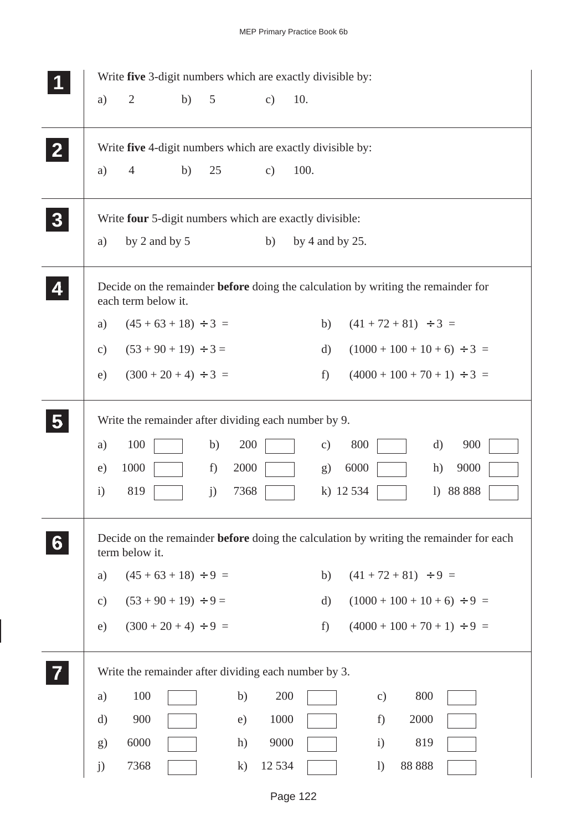|                         |               |                           |    |            |               | Write five 3-digit numbers which are exactly divisible by:                                    |
|-------------------------|---------------|---------------------------|----|------------|---------------|-----------------------------------------------------------------------------------------------|
|                         | a)            | $\overline{2}$            | b) | 5          | $\mathbf{c})$ | 10.                                                                                           |
| $\mathbf{2}$            |               |                           |    |            |               | Write five 4-digit numbers which are exactly divisible by:                                    |
|                         | a)            | $\overline{4}$            | b) | 25         | $\mathbf{c})$ | 100.                                                                                          |
| 3                       |               |                           |    |            |               | Write four 5-digit numbers which are exactly divisible:                                       |
|                         | a)            | by 2 and by 5             |    |            | b)            | by 4 and by $25$ .                                                                            |
|                         |               | each term below it.       |    |            |               | Decide on the remainder <b>before</b> doing the calculation by writing the remainder for      |
|                         | a)            | $(45 + 63 + 18) \div 3 =$ |    |            |               | $(41 + 72 + 81) \div 3 =$<br>b)                                                               |
|                         | $\mathbf{c})$ | $(53 + 90 + 19) \div 3 =$ |    |            |               | $(1000 + 100 + 10 + 6) \div 3 =$<br>d)                                                        |
|                         | e)            | $(300 + 20 + 4) \div 3 =$ |    |            |               | $(4000 + 100 + 70 + 1) \div 3 =$<br>f                                                         |
| $\overline{\mathbf{5}}$ |               |                           |    |            |               | Write the remainder after dividing each number by 9.                                          |
|                         | a)            | 100                       |    | 200<br>b)  |               | 800<br>$\mathbf{d}$<br>900<br>$\mathbf{c})$                                                   |
|                         | e)            | 1000                      |    | 2000<br>f) |               | 6000<br>9000<br>h)<br>g)                                                                      |
|                         | $\mathbf{i}$  | 819                       |    | 7368<br>j) |               | k) 12 534<br>88 888<br>$\left( \right)$                                                       |
| 6                       |               | term below it.            |    |            |               | Decide on the remainder <b>before</b> doing the calculation by writing the remainder for each |
|                         | a)            | $(45 + 63 + 18) \div 9 =$ |    |            |               | $(41 + 72 + 81) \div 9 =$<br>b)                                                               |
|                         | $\mathbf{c})$ | $(53 + 90 + 19) \div 9 =$ |    |            |               | $(1000 + 100 + 10 + 6) \div 9 =$<br>$\mathbf{d}$                                              |
|                         | e)            | $(300 + 20 + 4) \div 9 =$ |    |            |               | $(4000 + 100 + 70 + 1) \div 9 =$<br>$f$ )                                                     |
|                         |               |                           |    |            |               | Write the remainder after dividing each number by 3.                                          |
|                         | a)            | 100                       |    | b)         | 200           | 800<br>$\mathbf{c})$                                                                          |
|                         | d)            | 900                       |    | e)         | 1000          | 2000<br>f)                                                                                    |
|                         | g)            | 6000                      |    | h)         | 9000          | 819<br>$\mathbf{i}$                                                                           |
|                         | j)            | 7368                      |    | $\bf k)$   | 12 5 3 4      | 88 888<br>$\left( \frac{1}{2} \right)$                                                        |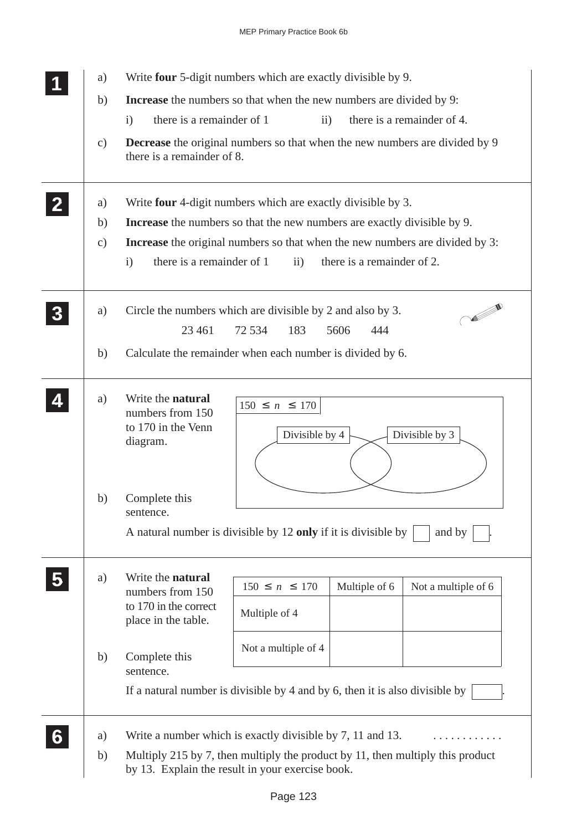|                         | a)<br>b)                  | MEP Primary Practice Book 6b<br>Write four 5-digit numbers which are exactly divisible by 9.<br><b>Increase</b> the numbers so that when the new numbers are divided by 9:                                                                                                                                                 |
|-------------------------|---------------------------|----------------------------------------------------------------------------------------------------------------------------------------------------------------------------------------------------------------------------------------------------------------------------------------------------------------------------|
|                         | c)                        | there is a remainder of 1<br>$\mathbf{ii}$<br>there is a remainder of 4.<br>$\mathbf{i}$<br>Decrease the original numbers so that when the new numbers are divided by 9<br>there is a remainder of 8.                                                                                                                      |
| $\overline{2}$          | a)<br>b)<br>$\mathbf{c})$ | Write four 4-digit numbers which are exactly divisible by 3.<br>Increase the numbers so that the new numbers are exactly divisible by 9.<br>Increase the original numbers so that when the new numbers are divided by 3:<br>there is a remainder of 1<br>there is a remainder of 2.<br>$\ddot{\text{ii}})$<br>$\mathbf{i}$ |
| $\overline{\mathbf{3}}$ | a)<br>b)                  | <b>CONTRACTOR</b><br>Circle the numbers which are divisible by 2 and also by 3.<br>23 4 61<br>72 534<br>183<br>5606<br>444<br>Calculate the remainder when each number is divided by 6.                                                                                                                                    |
| 4                       | a)                        | Write the natural<br>$150 \le n \le 170$<br>numbers from 150<br>to 170 in the Venn<br>Divisible by 3<br>Divisible by 4<br>diagram.                                                                                                                                                                                         |
|                         | b)                        | Complete this<br>sentence.<br>A natural number is divisible by 12 only if it is divisible by<br>and by                                                                                                                                                                                                                     |
|                         | a)                        | Write the natural<br>$150\leq n\leq 170$<br>Multiple of 6<br>Not a multiple of 6<br>numbers from 150<br>to 170 in the correct<br>Multiple of 4<br>place in the table.                                                                                                                                                      |
|                         | b)                        | Not a multiple of 4<br>Complete this<br>sentence.<br>If a natural number is divisible by 4 and by 6, then it is also divisible by                                                                                                                                                                                          |
| 6                       | a)<br>b)                  | Write a number which is exactly divisible by 7, 11 and 13.<br>Multiply 215 by 7, then multiply the product by 11, then multiply this product<br>by 13. Explain the result in your exercise book.                                                                                                                           |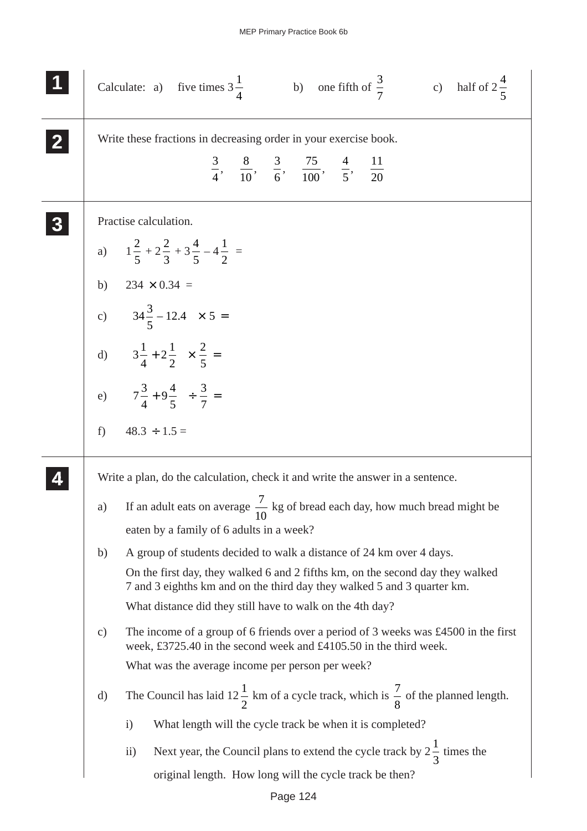|                  |       | b) one fifth of $\frac{3}{7}$ c) half of $2\frac{4}{5}$<br>Calculate: a) five times $3\frac{1}{4}$                                                        |
|------------------|-------|-----------------------------------------------------------------------------------------------------------------------------------------------------------|
| $\mathbf{2}$     |       | Write these fractions in decreasing order in your exercise book.                                                                                          |
|                  |       | $\frac{3}{4}$ , $\frac{8}{10}$ , $\frac{3}{6}$ , $\frac{75}{100}$ , $\frac{4}{5}$ , $\frac{11}{20}$                                                       |
| $\boldsymbol{3}$ |       | Practise calculation.                                                                                                                                     |
|                  |       | a) $1\frac{2}{5} + 2\frac{2}{3} + 3\frac{4}{5} - 4\frac{1}{2} =$                                                                                          |
|                  |       | b) $234 \times 0.34 =$                                                                                                                                    |
|                  |       | c) $\left(34\frac{3}{5}-12.4\right) \times 5=$                                                                                                            |
|                  |       | d) $\left(3\frac{1}{4}+2\frac{1}{2}\right)\times\frac{2}{5}=$                                                                                             |
|                  |       | e) $\left(7\frac{3}{4}+9\frac{4}{5}\right)\div\frac{3}{7}=$                                                                                               |
|                  | $f$ ) | $48.3 \div 1.5 =$                                                                                                                                         |
|                  |       | Write a plan, do the calculation, check it and write the answer in a sentence.                                                                            |
|                  | a)    | If an adult eats on average $\frac{7}{10}$ kg of bread each day, how much bread might be                                                                  |
|                  |       | eaten by a family of 6 adults in a week?                                                                                                                  |
|                  | b)    | A group of students decided to walk a distance of 24 km over 4 days.                                                                                      |
|                  |       | On the first day, they walked 6 and 2 fifths km, on the second day they walked<br>7 and 3 eighths km and on the third day they walked 5 and 3 quarter km. |
|                  |       | What distance did they still have to walk on the 4th day?                                                                                                 |
|                  | c)    | The income of a group of 6 friends over a period of 3 weeks was £4500 in the first<br>week, £3725.40 in the second week and £4105.50 in the third week.   |
|                  |       | What was the average income per person per week?                                                                                                          |
|                  | d)    | The Council has laid $12\frac{1}{2}$ km of a cycle track, which is $\frac{7}{8}$ of the planned length.                                                   |
|                  |       | What length will the cycle track be when it is completed?<br>$\mathbf{i}$                                                                                 |
|                  |       | Next year, the Council plans to extend the cycle track by $2\frac{1}{3}$ times the<br>$\rm ii)$                                                           |
|                  |       | original length. How long will the cycle track be then?                                                                                                   |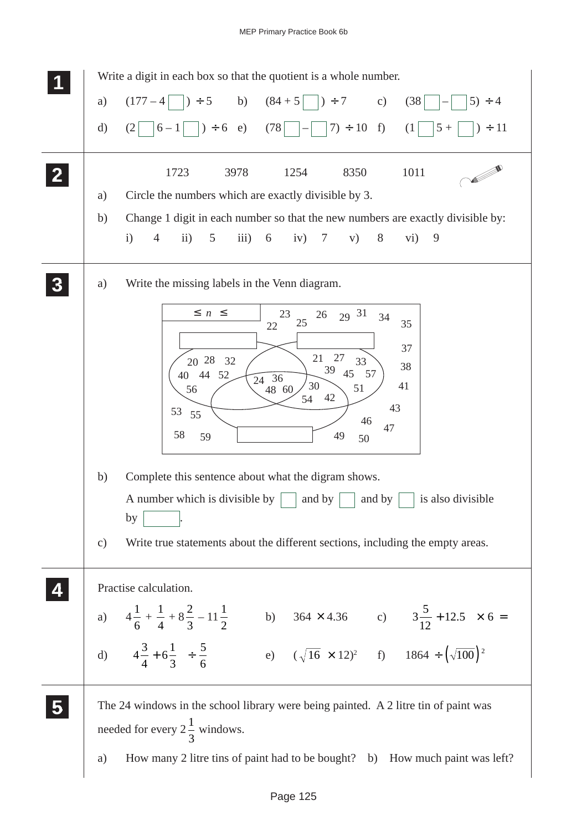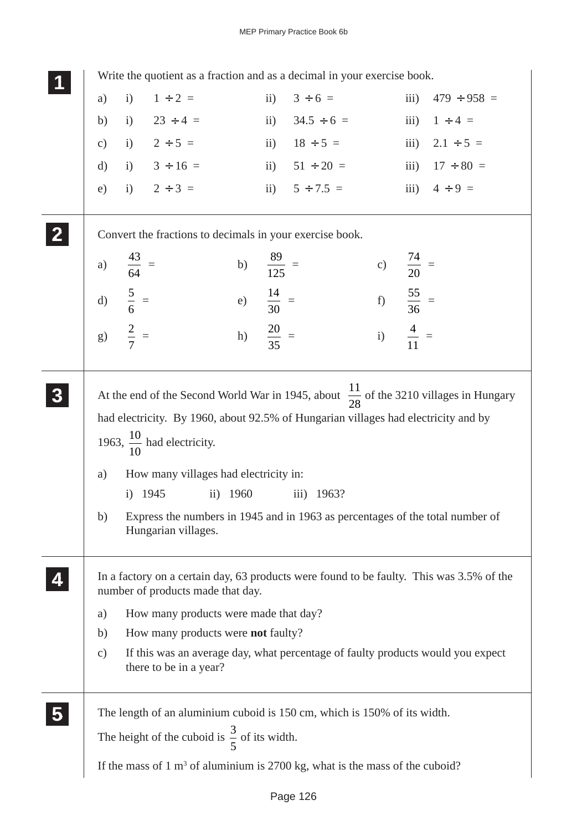| Write the quotient as a fraction and as a decimal in your exercise book.                                                                                                     |                                                            |                       |                                                                                                              |                      |      |                                                                                                   |  |
|------------------------------------------------------------------------------------------------------------------------------------------------------------------------------|------------------------------------------------------------|-----------------------|--------------------------------------------------------------------------------------------------------------|----------------------|------|---------------------------------------------------------------------------------------------------|--|
| i) $1 \div 2 =$<br>a)                                                                                                                                                        |                                                            | $\mathbf{ii}$         | $3 \div 6 =$                                                                                                 |                      | iii) | $479 \div 958 =$                                                                                  |  |
| i) $23 \div 4 =$<br>b)                                                                                                                                                       |                                                            |                       | ii) $34.5 \div 6 =$ iii) $1 \div 4 =$                                                                        |                      |      |                                                                                                   |  |
| c) i) $2 \div 5 =$ ii) $18 \div 5 =$ iii) $2.1 \div 5 =$                                                                                                                     |                                                            |                       |                                                                                                              |                      |      |                                                                                                   |  |
| d) i) $3 \div 16 =$                                                                                                                                                          |                                                            |                       | ii) $51 \div 20 =$ iii) $17 \div 80 =$                                                                       |                      |      |                                                                                                   |  |
| i) $2 \div 3 =$<br>e)                                                                                                                                                        |                                                            |                       | ii) $5 \div 7.5 =$ iii) $4 \div 9 =$                                                                         |                      |      |                                                                                                   |  |
| Convert the fractions to decimals in your exercise book.                                                                                                                     |                                                            |                       |                                                                                                              |                      |      |                                                                                                   |  |
| $\frac{43}{64}$ =<br>a)                                                                                                                                                      |                                                            | b) $\frac{89}{125}$ = |                                                                                                              | c) $\frac{74}{20}$ = |      |                                                                                                   |  |
| d) $\frac{5}{6}$ =<br>g) $\frac{2}{7}$ =                                                                                                                                     | e) $\frac{14}{30}$ =                                       |                       | f) $\frac{55}{36}$ =                                                                                         |                      |      |                                                                                                   |  |
|                                                                                                                                                                              | h) $\frac{20}{35}$ =                                       |                       |                                                                                                              | i) $\frac{4}{11}$ =  |      |                                                                                                   |  |
| had electricity. By 1960, about 92.5% of Hungarian villages had electricity and by<br>1963, $\frac{10}{10}$ had electricity.<br>a)<br>i) $1945$<br>b)<br>Hungarian villages. | How many villages had electricity in:<br>1960<br>$\rm ii)$ |                       | 1963?<br>$\overline{iii}$ )<br>Express the numbers in 1945 and in 1963 as percentages of the total number of |                      |      | At the end of the Second World War in 1945, about $\frac{11}{28}$ of the 3210 villages in Hungary |  |
| In a factory on a certain day, 63 products were found to be faulty. This was 3.5% of the<br>number of products made that day.<br>a)                                          | How many products were made that day?                      |                       |                                                                                                              |                      |      |                                                                                                   |  |
| b)                                                                                                                                                                           | How many products were <b>not</b> faulty?                  |                       |                                                                                                              |                      |      |                                                                                                   |  |
| c)<br>there to be in a year?                                                                                                                                                 |                                                            |                       |                                                                                                              |                      |      | If this was an average day, what percentage of faulty products would you expect                   |  |
| The length of an aluminium cuboid is 150 cm, which is 150% of its width.                                                                                                     |                                                            |                       |                                                                                                              |                      |      |                                                                                                   |  |
| The height of the cuboid is $\frac{3}{5}$ of its width.                                                                                                                      |                                                            |                       |                                                                                                              |                      |      |                                                                                                   |  |
| If the mass of $1 \text{ m}^3$ of aluminium is 2700 kg, what is the mass of the cuboid?                                                                                      |                                                            |                       |                                                                                                              |                      |      |                                                                                                   |  |
|                                                                                                                                                                              |                                                            |                       |                                                                                                              |                      |      |                                                                                                   |  |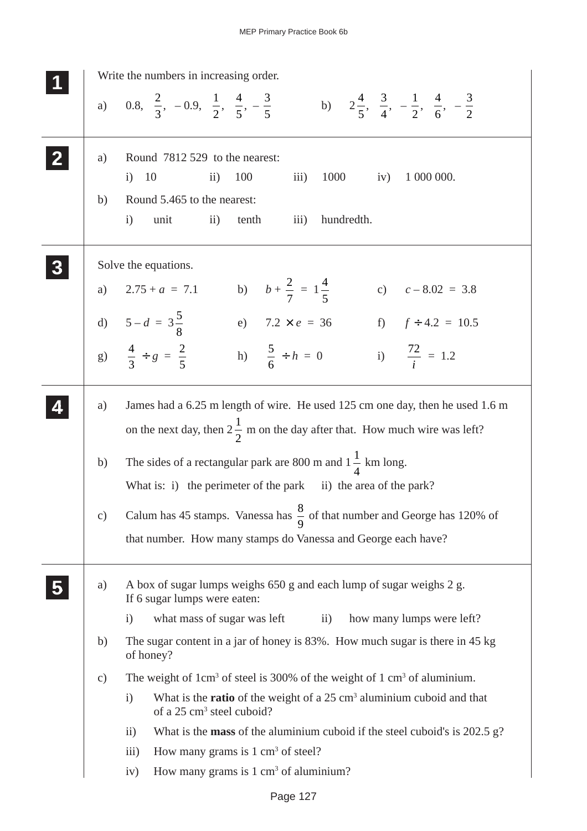|                 | Write the numbers in increasing order.                                                                                                                                 |
|-----------------|------------------------------------------------------------------------------------------------------------------------------------------------------------------------|
|                 | a) 0.8, $\frac{2}{3}$ , -0.9, $\frac{1}{2}$ , $\frac{4}{5}$ , $-\frac{3}{5}$ b) $2\frac{4}{5}$ , $\frac{3}{4}$ , $-\frac{1}{2}$ , $\frac{4}{6}$ , $-\frac{3}{2}$       |
| a)              | Round 7812 529 to the nearest:                                                                                                                                         |
|                 | 1000<br>1 000 000.<br>i) 10<br>100<br>$\overline{iii}$ )<br>iv)<br>$\rm ii)$                                                                                           |
| b)              | Round 5.465 to the nearest:                                                                                                                                            |
|                 | hundredth.<br>$\mathbf{i}$<br>unit<br>$\rm ii)$<br>$\overline{iii}$<br>tenth                                                                                           |
|                 | Solve the equations.                                                                                                                                                   |
| a)              | b) $b + \frac{2}{7} = 1\frac{4}{5}$<br>c) $c - 8.02 = 3.8$<br>$2.75 + a = 7.1$                                                                                         |
|                 | d) $5-d = 3\frac{5}{8}$<br>e) $7.2 \times e = 36$ f) $f \div 4.2 = 10.5$                                                                                               |
|                 | g) $\frac{4}{3} \div g = \frac{2}{5}$<br>h) $\frac{5}{6} \div h = 0$<br>i) $\frac{72}{4} = 1.2$                                                                        |
| a)              | James had a 6.25 m length of wire. He used 125 cm one day, then he used 1.6 m<br>on the next day, then $2\frac{1}{2}$ m on the day after that. How much wire was left? |
| b)              | The sides of a rectangular park are 800 m and $1\frac{1}{4}$ km long.<br>What is: i) the perimeter of the park ii) the area of the park?                               |
| $\mathcal{C}$ ) | Calum has 45 stamps. Vanessa has $\frac{8}{9}$ of that number and George has 120% of<br>that number. How many stamps do Vanessa and George each have?                  |
| a)              | A box of sugar lumps weighs 650 g and each lump of sugar weighs 2 g.<br>If 6 sugar lumps were eaten:                                                                   |
|                 | what mass of sugar was left<br>how many lumps were left?<br>$\mathbf{ii}$<br>$\mathbf{i}$                                                                              |
| b)              | The sugar content in a jar of honey is 83%. How much sugar is there in 45 kg<br>of honey?                                                                              |
| $\mathbf{c})$   | The weight of $1 \text{ cm}^3$ of steel is 300% of the weight of $1 \text{ cm}^3$ of aluminium.                                                                        |
|                 | What is the ratio of the weight of a 25 cm <sup>3</sup> aluminium cuboid and that<br>$\mathbf{i}$<br>of a 25 cm <sup>3</sup> steel cuboid?                             |
|                 | What is the <b>mass</b> of the aluminium cuboid if the steel cuboid's is $202.5$ g?<br>$\rm ii)$                                                                       |
|                 | How many grams is $1 \text{ cm}^3$ of steel?<br>$\overline{111}$ )                                                                                                     |
|                 | How many grams is $1 \text{ cm}^3$ of aluminium?<br>iv)                                                                                                                |
|                 |                                                                                                                                                                        |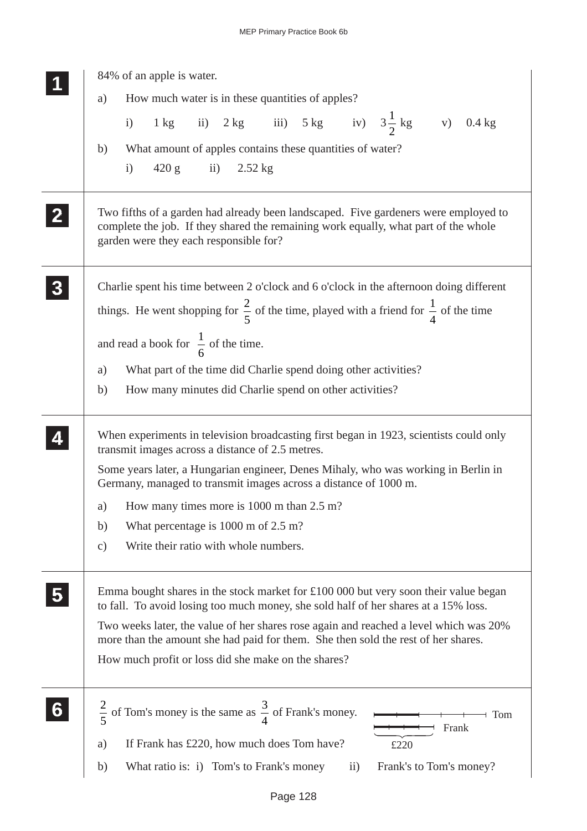|              | 84% of an apple is water.                                                                                                                                                                                                                                                                                                                                                                                              |
|--------------|------------------------------------------------------------------------------------------------------------------------------------------------------------------------------------------------------------------------------------------------------------------------------------------------------------------------------------------------------------------------------------------------------------------------|
|              | How much water is in these quantities of apples?<br>a)                                                                                                                                                                                                                                                                                                                                                                 |
|              | 1 kg ii) 2 kg iii) 5 kg iv) $3\frac{1}{2}$ kg v) 0.4 kg<br>i)                                                                                                                                                                                                                                                                                                                                                          |
|              | What amount of apples contains these quantities of water?<br>b)                                                                                                                                                                                                                                                                                                                                                        |
|              | $420 g$ ii) $2.52 kg$<br>i)                                                                                                                                                                                                                                                                                                                                                                                            |
|              |                                                                                                                                                                                                                                                                                                                                                                                                                        |
| $\mathbf{Z}$ | Two fifths of a garden had already been landscaped. Five gardeners were employed to<br>complete the job. If they shared the remaining work equally, what part of the whole<br>garden were they each responsible for?                                                                                                                                                                                                   |
|              | Charlie spent his time between 2 o'clock and 6 o'clock in the afternoon doing different<br>things. He went shopping for $\frac{2}{5}$ of the time, played with a friend for $\frac{1}{4}$ of the time                                                                                                                                                                                                                  |
|              | and read a book for $\frac{1}{6}$ of the time.                                                                                                                                                                                                                                                                                                                                                                         |
|              | What part of the time did Charlie spend doing other activities?<br>a)                                                                                                                                                                                                                                                                                                                                                  |
|              | How many minutes did Charlie spend on other activities?<br>b)                                                                                                                                                                                                                                                                                                                                                          |
|              | When experiments in television broadcasting first began in 1923, scientists could only<br>transmit images across a distance of 2.5 metres.                                                                                                                                                                                                                                                                             |
|              | Some years later, a Hungarian engineer, Denes Mihaly, who was working in Berlin in<br>Germany, managed to transmit images across a distance of 1000 m.                                                                                                                                                                                                                                                                 |
|              | a) How many times more is $1000$ m than $2.5$ m?                                                                                                                                                                                                                                                                                                                                                                       |
|              | What percentage is $1000 \text{ m of } 2.5 \text{ m}$ ?<br>b)                                                                                                                                                                                                                                                                                                                                                          |
|              | Write their ratio with whole numbers.<br>$\mathbf{c})$                                                                                                                                                                                                                                                                                                                                                                 |
|              | Emma bought shares in the stock market for $\pounds100000$ but very soon their value began<br>to fall. To avoid losing too much money, she sold half of her shares at a 15% loss.<br>Two weeks later, the value of her shares rose again and reached a level which was 20%<br>more than the amount she had paid for them. She then sold the rest of her shares.<br>How much profit or loss did she make on the shares? |
| 6            | of Tom's money is the same as $\frac{3}{4}$ of Frank's money.<br>$rac{2}{5}$<br>Tom<br>Frank<br>If Frank has £220, how much does Tom have?<br>a)<br>£220<br>What ratio is: i) Tom's to Frank's money<br>Frank's to Tom's money?<br>b)<br>$\rm ii)$                                                                                                                                                                     |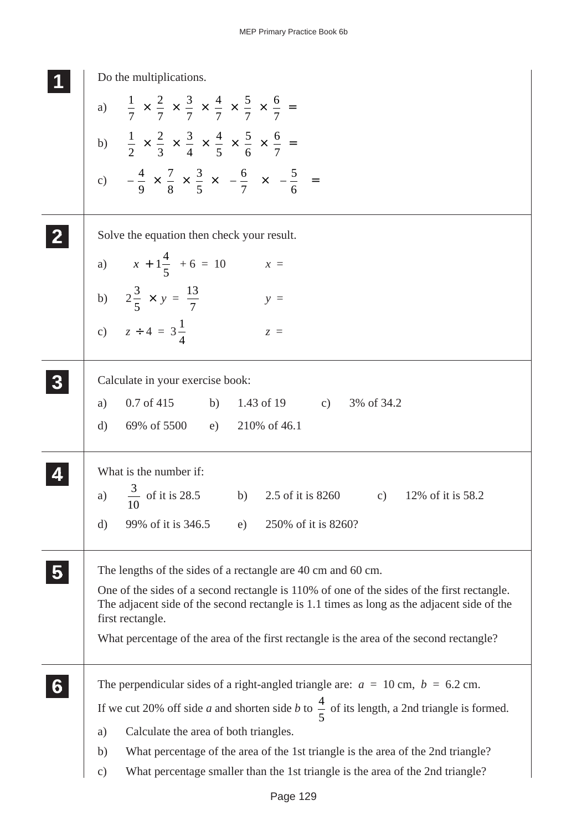| Do the multiplications.                                                                                                                                                                                      |
|--------------------------------------------------------------------------------------------------------------------------------------------------------------------------------------------------------------|
| a) $\frac{1}{7} \times \frac{2}{7} \times \frac{3}{7} \times \frac{4}{7} \times \frac{5}{7} \times \frac{6}{7} =$                                                                                            |
|                                                                                                                                                                                                              |
| b) $\frac{1}{2} \times \frac{2}{3} \times \frac{3}{4} \times \frac{4}{5} \times \frac{5}{6} \times \frac{6}{7} =$                                                                                            |
| c) $-\frac{4}{9} \times \frac{7}{8} \times \frac{3}{5} \times \left(-\frac{6}{7}\right) \times \left(-\frac{5}{6}\right) =$                                                                                  |
| Solve the equation then check your result.                                                                                                                                                                   |
| a) $\left(x + 1\frac{4}{5}\right) + 6 = 10$<br>$x =$                                                                                                                                                         |
| b) $2\frac{3}{5} \times y = \frac{13}{7}$<br>$y =$                                                                                                                                                           |
| c) $z \div 4 = 3\frac{1}{4}$<br>$z =$                                                                                                                                                                        |
| Calculate in your exercise book:                                                                                                                                                                             |
| $0.7 \text{ of } 415$ b)<br>1.43 of 19 c) 3% of 34.2<br>a)                                                                                                                                                   |
| 69% of 5500 e)<br>210% of 46.1<br>d)                                                                                                                                                                         |
| What is the number if:                                                                                                                                                                                       |
| $\frac{3}{10}$ of it is 28.5<br>b) 2.5 of it is $8260$<br>a)<br>c) $12\%$ of it is 58.2<br>10                                                                                                                |
| 99% of it is 346.5<br>250% of it is 8260?<br>$\rm d)$<br>e)                                                                                                                                                  |
| The lengths of the sides of a rectangle are 40 cm and 60 cm.                                                                                                                                                 |
| One of the sides of a second rectangle is 110% of one of the sides of the first rectangle.<br>The adjacent side of the second rectangle is 1.1 times as long as the adjacent side of the<br>first rectangle. |
| What percentage of the area of the first rectangle is the area of the second rectangle?                                                                                                                      |
| The perpendicular sides of a right-angled triangle are: $a = 10$ cm, $b = 6.2$ cm.                                                                                                                           |
| If we cut 20% off side <i>a</i> and shorten side <i>b</i> to $\frac{4}{5}$ of its length, a 2nd triangle is formed.                                                                                          |
| Calculate the area of both triangles.<br>a)                                                                                                                                                                  |
| What percentage of the area of the 1st triangle is the area of the 2nd triangle?<br>b)                                                                                                                       |
| What percentage smaller than the 1st triangle is the area of the 2nd triangle?<br>$\mathbf{c})$                                                                                                              |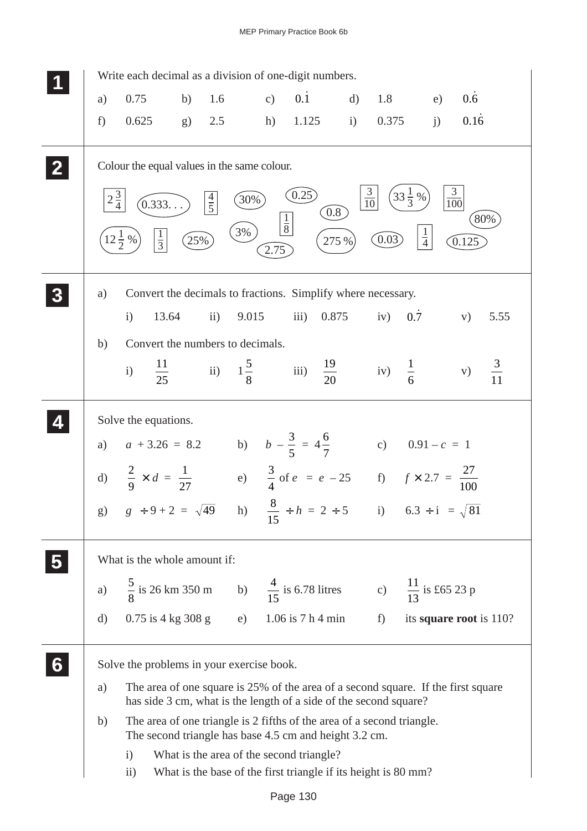|   |                | Write each decimal as a division of one-digit numbers.                                                                                                                                    |     |               |              |                       |                                                                                                            |             |                                               |                         |                                      |      |
|---|----------------|-------------------------------------------------------------------------------------------------------------------------------------------------------------------------------------------|-----|---------------|--------------|-----------------------|------------------------------------------------------------------------------------------------------------|-------------|-----------------------------------------------|-------------------------|--------------------------------------|------|
|   | a)             | 0.75                                                                                                                                                                                      | b)  | 1.6           |              | c)                    | $0.\dot{1}$                                                                                                | $\rm d$     | 1.8                                           | e)                      | $0.\dot{6}$                          |      |
|   | f              | 0.625                                                                                                                                                                                     | g)  | 2.5           |              | h)                    | 1.125                                                                                                      | i)          | 0.375                                         | j)                      | 0.16                                 |      |
|   | $2\frac{3}{4}$ | Colour the equal values in the same colour.<br>(0.333<br>$\frac{1}{3}$<br>$12\frac{1}{2}\%$                                                                                               | 25% | $\frac{4}{5}$ | $30\%$<br>3% | $\frac{1}{8}$<br>2.75 | (0.25)                                                                                                     | 0.8<br>275% | $rac{3}{10}$<br>$(33\frac{1}{3}\%)$<br>(0.03) | $\frac{1}{4}$           | $\frac{3}{100}$<br>$\widehat{0.125}$ | 80%  |
|   | a)             | Convert the decimals to fractions. Simplify where necessary.                                                                                                                              |     |               |              |                       |                                                                                                            |             |                                               |                         |                                      |      |
|   |                | $\mathbf{i}$<br>13.64                                                                                                                                                                     |     | $\mathbf{ii}$ | 9.015        |                       | $\overline{\text{iii}}$                                                                                    | 0.875       | iv) $0.\overline{7}$                          |                         | V)                                   | 5.55 |
|   | b)             | Convert the numbers to decimals.                                                                                                                                                          |     |               |              |                       |                                                                                                            |             |                                               |                         |                                      |      |
|   |                | i) $\frac{11}{25}$ ii) $1\frac{5}{8}$ iii) $\frac{19}{20}$ iv) $\frac{1}{6}$ v) $\frac{3}{11}$                                                                                            |     |               |              |                       |                                                                                                            |             |                                               |                         |                                      |      |
|   |                | Solve the equations.                                                                                                                                                                      |     |               |              |                       |                                                                                                            |             |                                               |                         |                                      |      |
|   |                |                                                                                                                                                                                           |     |               |              |                       |                                                                                                            |             |                                               |                         |                                      |      |
|   |                | a) $a + 3.26 = 8.2$ b) $b - \frac{3}{5} = 4\frac{6}{7}$ c) $0.91 - c = 1$<br>d) $\frac{2}{9} \times d = \frac{1}{27}$ e) $\frac{3}{4}$ of $e = e - 25$ f) $f \times 2.7 = \frac{27}{100}$ |     |               |              |                       |                                                                                                            |             |                                               |                         |                                      |      |
|   |                | g) $g \div 9 + 2 = \sqrt{49}$ h) $\frac{8}{15} \div h = 2 \div 5$ i) $6.3 \div i = \sqrt{81}$                                                                                             |     |               |              |                       |                                                                                                            |             |                                               |                         |                                      |      |
|   |                | What is the whole amount if:                                                                                                                                                              |     |               |              |                       |                                                                                                            |             |                                               |                         |                                      |      |
|   |                | a) $\frac{5}{8}$ is 26 km 350 m b) $\frac{4}{15}$ is 6.78 litres c) $\frac{11}{13}$ is £65 23 p                                                                                           |     |               |              |                       |                                                                                                            |             |                                               |                         |                                      |      |
|   | $\rm d)$       | $0.75$ is 4 kg 308 g e) $1.06$ is 7 h 4 min f)                                                                                                                                            |     |               |              |                       |                                                                                                            |             |                                               | its square root is 110? |                                      |      |
| 6 |                | Solve the problems in your exercise book.                                                                                                                                                 |     |               |              |                       |                                                                                                            |             |                                               |                         |                                      |      |
|   | a)             | The area of one square is 25% of the area of a second square. If the first square<br>has side 3 cm, what is the length of a side of the second square?                                    |     |               |              |                       |                                                                                                            |             |                                               |                         |                                      |      |
|   | b)             | The area of one triangle is 2 fifths of the area of a second triangle.<br>The second triangle has base 4.5 cm and height 3.2 cm.                                                          |     |               |              |                       |                                                                                                            |             |                                               |                         |                                      |      |
|   |                | $\mathbf{i}$<br>$\rm ii)$                                                                                                                                                                 |     |               |              |                       | What is the area of the second triangle?<br>What is the base of the first triangle if its height is 80 mm? |             |                                               |                         |                                      |      |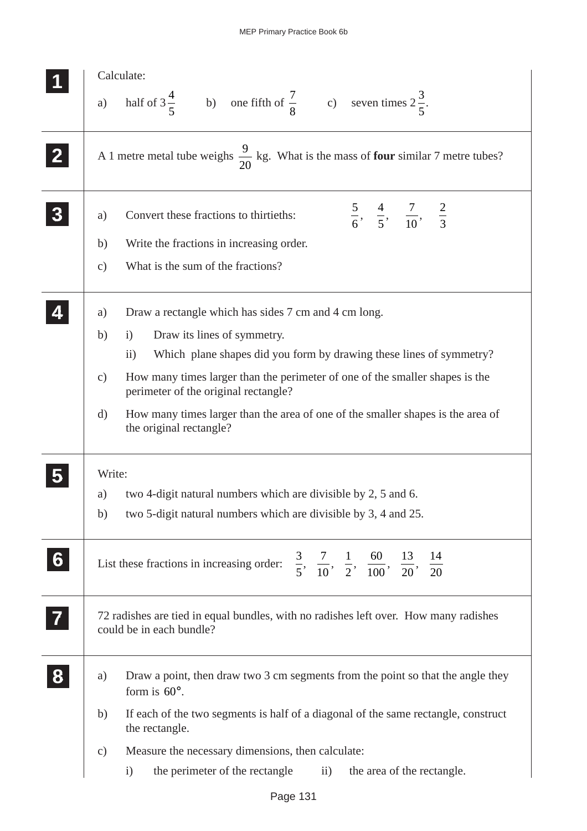| half of $3\frac{4}{5}$ b) one fifth of $\frac{7}{8}$ c) seven times $2\frac{3}{5}$ .<br>a)<br>A 1 metre metal tube weighs $\frac{9}{20}$ kg. What is the mass of <b>four</b> similar 7 metre tubes?<br>$\frac{5}{6}, \frac{4}{5}, \frac{7}{10}, \frac{2}{3}$<br>Convert these fractions to thirtieths:<br>a)<br>Write the fractions in increasing order.<br>b)<br>What is the sum of the fractions?<br>$\mathbf{c})$<br>Draw a rectangle which has sides 7 cm and 4 cm long.<br>a)<br>Draw its lines of symmetry.<br>b)<br>$\mathbf{i}$<br>Which plane shapes did you form by drawing these lines of symmetry?<br>$\overline{ii}$ )<br>How many times larger than the perimeter of one of the smaller shapes is the<br>$\mathbf{c})$<br>perimeter of the original rectangle?<br>How many times larger than the area of one of the smaller shapes is the area of<br>d)<br>the original rectangle?<br>Write:<br>two 4-digit natural numbers which are divisible by 2, 5 and 6.<br>a)<br>two 5-digit natural numbers which are divisible by 3, 4 and 25.<br>b)<br>$\frac{3}{5}, \frac{7}{10}, \frac{1}{2}, \frac{60}{100}, \frac{13}{20}, \frac{14}{20}$<br>$6 \overline{6}$<br>List these fractions in increasing order:<br>72 radishes are tied in equal bundles, with no radishes left over. How many radishes<br>could be in each bundle?<br>Draw a point, then draw two 3 cm segments from the point so that the angle they<br>a)<br>form is $60^\circ$ .<br>If each of the two segments is half of a diagonal of the same rectangle, construct<br>b)<br>the rectangle. | Calculate: |
|---------------------------------------------------------------------------------------------------------------------------------------------------------------------------------------------------------------------------------------------------------------------------------------------------------------------------------------------------------------------------------------------------------------------------------------------------------------------------------------------------------------------------------------------------------------------------------------------------------------------------------------------------------------------------------------------------------------------------------------------------------------------------------------------------------------------------------------------------------------------------------------------------------------------------------------------------------------------------------------------------------------------------------------------------------------------------------------------------------------------------------------------------------------------------------------------------------------------------------------------------------------------------------------------------------------------------------------------------------------------------------------------------------------------------------------------------------------------------------------------------------------------------------------------------------------------------|------------|
|                                                                                                                                                                                                                                                                                                                                                                                                                                                                                                                                                                                                                                                                                                                                                                                                                                                                                                                                                                                                                                                                                                                                                                                                                                                                                                                                                                                                                                                                                                                                                                           |            |
|                                                                                                                                                                                                                                                                                                                                                                                                                                                                                                                                                                                                                                                                                                                                                                                                                                                                                                                                                                                                                                                                                                                                                                                                                                                                                                                                                                                                                                                                                                                                                                           |            |
|                                                                                                                                                                                                                                                                                                                                                                                                                                                                                                                                                                                                                                                                                                                                                                                                                                                                                                                                                                                                                                                                                                                                                                                                                                                                                                                                                                                                                                                                                                                                                                           |            |
|                                                                                                                                                                                                                                                                                                                                                                                                                                                                                                                                                                                                                                                                                                                                                                                                                                                                                                                                                                                                                                                                                                                                                                                                                                                                                                                                                                                                                                                                                                                                                                           |            |
|                                                                                                                                                                                                                                                                                                                                                                                                                                                                                                                                                                                                                                                                                                                                                                                                                                                                                                                                                                                                                                                                                                                                                                                                                                                                                                                                                                                                                                                                                                                                                                           |            |
|                                                                                                                                                                                                                                                                                                                                                                                                                                                                                                                                                                                                                                                                                                                                                                                                                                                                                                                                                                                                                                                                                                                                                                                                                                                                                                                                                                                                                                                                                                                                                                           |            |
|                                                                                                                                                                                                                                                                                                                                                                                                                                                                                                                                                                                                                                                                                                                                                                                                                                                                                                                                                                                                                                                                                                                                                                                                                                                                                                                                                                                                                                                                                                                                                                           |            |
|                                                                                                                                                                                                                                                                                                                                                                                                                                                                                                                                                                                                                                                                                                                                                                                                                                                                                                                                                                                                                                                                                                                                                                                                                                                                                                                                                                                                                                                                                                                                                                           |            |
|                                                                                                                                                                                                                                                                                                                                                                                                                                                                                                                                                                                                                                                                                                                                                                                                                                                                                                                                                                                                                                                                                                                                                                                                                                                                                                                                                                                                                                                                                                                                                                           |            |
|                                                                                                                                                                                                                                                                                                                                                                                                                                                                                                                                                                                                                                                                                                                                                                                                                                                                                                                                                                                                                                                                                                                                                                                                                                                                                                                                                                                                                                                                                                                                                                           |            |
|                                                                                                                                                                                                                                                                                                                                                                                                                                                                                                                                                                                                                                                                                                                                                                                                                                                                                                                                                                                                                                                                                                                                                                                                                                                                                                                                                                                                                                                                                                                                                                           |            |
|                                                                                                                                                                                                                                                                                                                                                                                                                                                                                                                                                                                                                                                                                                                                                                                                                                                                                                                                                                                                                                                                                                                                                                                                                                                                                                                                                                                                                                                                                                                                                                           |            |
|                                                                                                                                                                                                                                                                                                                                                                                                                                                                                                                                                                                                                                                                                                                                                                                                                                                                                                                                                                                                                                                                                                                                                                                                                                                                                                                                                                                                                                                                                                                                                                           |            |
|                                                                                                                                                                                                                                                                                                                                                                                                                                                                                                                                                                                                                                                                                                                                                                                                                                                                                                                                                                                                                                                                                                                                                                                                                                                                                                                                                                                                                                                                                                                                                                           |            |
|                                                                                                                                                                                                                                                                                                                                                                                                                                                                                                                                                                                                                                                                                                                                                                                                                                                                                                                                                                                                                                                                                                                                                                                                                                                                                                                                                                                                                                                                                                                                                                           |            |
|                                                                                                                                                                                                                                                                                                                                                                                                                                                                                                                                                                                                                                                                                                                                                                                                                                                                                                                                                                                                                                                                                                                                                                                                                                                                                                                                                                                                                                                                                                                                                                           |            |
|                                                                                                                                                                                                                                                                                                                                                                                                                                                                                                                                                                                                                                                                                                                                                                                                                                                                                                                                                                                                                                                                                                                                                                                                                                                                                                                                                                                                                                                                                                                                                                           |            |
| Measure the necessary dimensions, then calculate:<br>$\mathbf{c})$                                                                                                                                                                                                                                                                                                                                                                                                                                                                                                                                                                                                                                                                                                                                                                                                                                                                                                                                                                                                                                                                                                                                                                                                                                                                                                                                                                                                                                                                                                        |            |
| the perimeter of the rectangle<br>the area of the rectangle.<br>$\rm ii)$<br>$\rm i)$                                                                                                                                                                                                                                                                                                                                                                                                                                                                                                                                                                                                                                                                                                                                                                                                                                                                                                                                                                                                                                                                                                                                                                                                                                                                                                                                                                                                                                                                                     |            |
|                                                                                                                                                                                                                                                                                                                                                                                                                                                                                                                                                                                                                                                                                                                                                                                                                                                                                                                                                                                                                                                                                                                                                                                                                                                                                                                                                                                                                                                                                                                                                                           |            |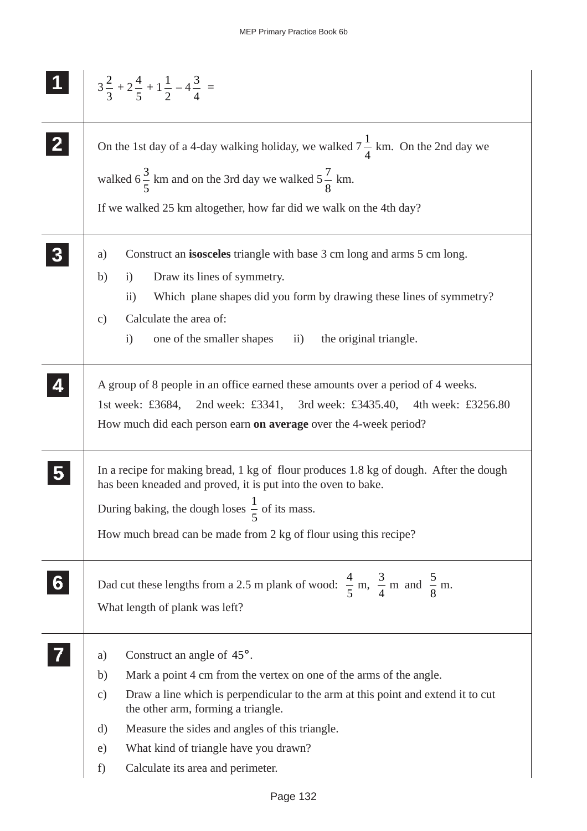|    | $3\frac{2}{3}+2\frac{4}{5}+1\frac{1}{2}-4\frac{3}{4}=$                                                                                                                                                                                                                                                                                                                                                    |
|----|-----------------------------------------------------------------------------------------------------------------------------------------------------------------------------------------------------------------------------------------------------------------------------------------------------------------------------------------------------------------------------------------------------------|
|    | On the 1st day of a 4-day walking holiday, we walked $7\frac{1}{4}$ km. On the 2nd day we<br>walked $6\frac{3}{5}$ km and on the 3rd day we walked $5\frac{7}{8}$ km.<br>If we walked 25 km altogether, how far did we walk on the 4th day?                                                                                                                                                               |
|    | Construct an <b>isosceles</b> triangle with base 3 cm long and arms 5 cm long.<br>a)<br>Draw its lines of symmetry.<br>b)<br>$\ddot{1}$<br>$\ddot{i}$<br>Which plane shapes did you form by drawing these lines of symmetry?<br>Calculate the area of:<br>$\mathbf{c})$<br>one of the smaller shapes ii)<br>$\mathbf{i}$<br>the original triangle.                                                        |
|    | A group of 8 people in an office earned these amounts over a period of 4 weeks.<br>1st week: £3684, 2nd week: £3341, 3rd week: £3435.40,<br>4th week: £3256.80<br>How much did each person earn on average over the 4-week period?                                                                                                                                                                        |
|    | In a recipe for making bread, 1 kg of flour produces 1.8 kg of dough. After the dough<br>has been kneaded and proved, it is put into the oven to bake.<br>During baking, the dough loses $\frac{1}{5}$ of its mass.<br>How much bread can be made from 2 kg of flour using this recipe?                                                                                                                   |
| 6. | Dad cut these lengths from a 2.5 m plank of wood: $\frac{4}{5}$ m, $\frac{3}{4}$ m and $\frac{5}{8}$ m.<br>What length of plank was left?                                                                                                                                                                                                                                                                 |
|    | Construct an angle of 45°.<br>a)<br>Mark a point 4 cm from the vertex on one of the arms of the angle.<br>b)<br>Draw a line which is perpendicular to the arm at this point and extend it to cut<br>$\mathbf{c})$<br>the other arm, forming a triangle.<br>Measure the sides and angles of this triangle.<br>d)<br>What kind of triangle have you drawn?<br>e)<br>Calculate its area and perimeter.<br>f) |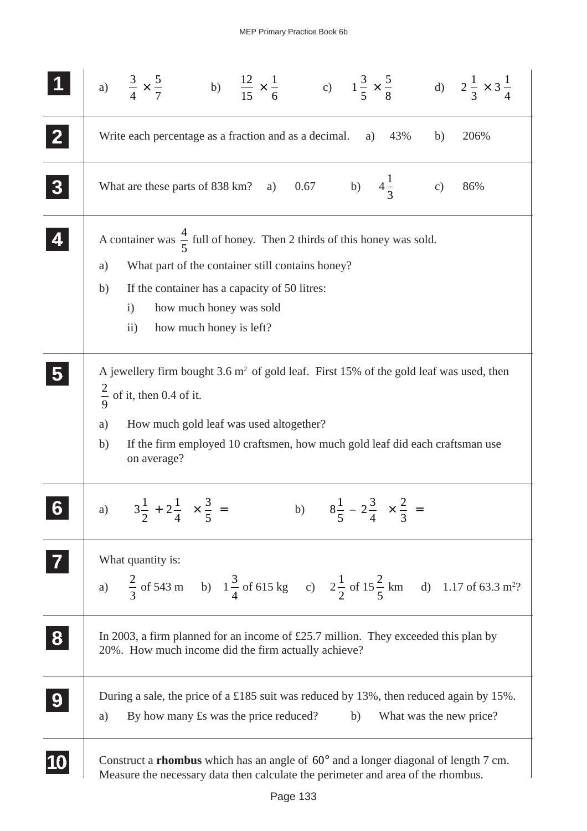|                  | a) $\frac{3}{4} \times \frac{5}{7}$ b) $\frac{12}{15} \times \frac{1}{6}$ c) $1\frac{3}{5} \times \frac{5}{8}$ d) $2\frac{1}{3} \times 3\frac{1}{4}$                                                                                                                                            |
|------------------|-------------------------------------------------------------------------------------------------------------------------------------------------------------------------------------------------------------------------------------------------------------------------------------------------|
|                  | Write each percentage as a fraction and as a decimal.<br>43%<br>206%<br>a)<br>b)                                                                                                                                                                                                                |
|                  | What are these parts of 838 km? a) 0.67 b) $4\frac{1}{3}$<br>c)<br>86%                                                                                                                                                                                                                          |
|                  | A container was $\frac{4}{5}$ full of honey. Then 2 thirds of this honey was sold.<br>What part of the container still contains honey?<br>a)<br>If the container has a capacity of 50 litres:<br>b)<br>how much honey was sold<br>$\mathbf{i}$<br>how much honey is left?<br>$\rm ii)$          |
|                  | A jewellery firm bought $3.6 \text{ m}^2$ of gold leaf. First 15% of the gold leaf was used, then<br>$\frac{2}{9}$ of it, then 0.4 of it.<br>How much gold leaf was used altogether?<br>a)<br>If the firm employed 10 craftsmen, how much gold leaf did each craftsman use<br>b)<br>on average? |
|                  | a) $\left(3\frac{1}{2} + 2\frac{1}{4}\right) \times \frac{3}{5} =$<br>b) $\left(8\frac{1}{5} - 2\frac{3}{4}\right) \times \frac{2}{3} =$                                                                                                                                                        |
| $\vert$ 7        | What quantity is:<br>a) $\frac{2}{3}$ of 543 m b) $1\frac{3}{4}$ of 615 kg c) $2\frac{1}{2}$ of $15\frac{2}{5}$ km d) 1.17 of 63.3 m <sup>2</sup> ?                                                                                                                                             |
| 8                | In 2003, a firm planned for an income of £25.7 million. They exceeded this plan by<br>20%. How much income did the firm actually achieve?                                                                                                                                                       |
| $\boldsymbol{9}$ | During a sale, the price of a £185 suit was reduced by 13%, then reduced again by 15%.<br>By how many £s was the price reduced?<br>b)<br>What was the new price?<br>a)                                                                                                                          |
| 10               | Construct a <b>rhombus</b> which has an angle of $60^{\circ}$ and a longer diagonal of length 7 cm.<br>Measure the necessary data then calculate the perimeter and area of the rhombus.                                                                                                         |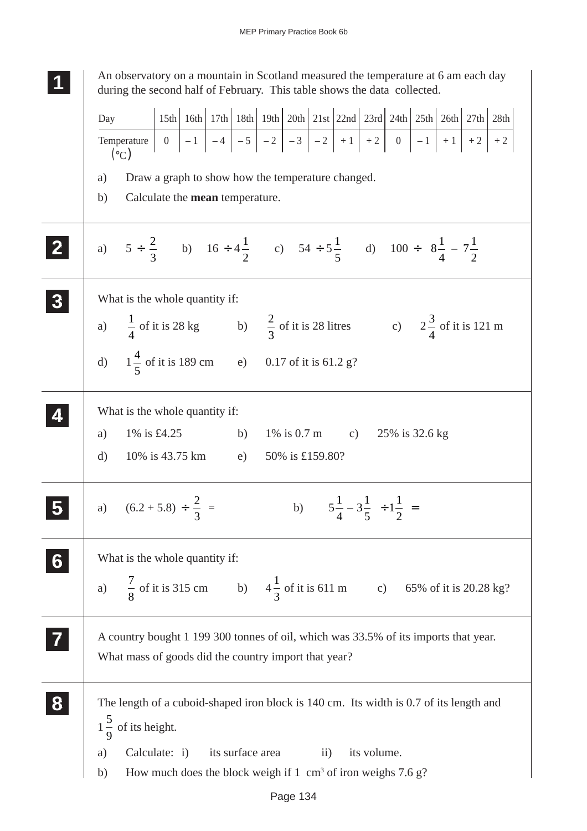**1 11** An observatory on a mountain in Scotland measured the temperature at 6 am each day during the second half of February. This table shows the data collected. a) Draw a graph to show how the temperature changed. b) Calculate the **mean** temperature. a)  $5 \div \frac{2}{3}$ 3 b)  $16 \div 4\frac{1}{2}$ 2 c)  $54 \div 5\frac{1}{7}$ 5 d)  $100 \div \left(8 \frac{1}{4}\right)$ 4  $\left(8\frac{1}{4} - 7\frac{1}{2}\right)$  $\lambda$  $\overline{\phantom{a}}$ What is the whole quantity if: a)  $\frac{1}{4}$ 4 of it is 28 kg b)  $\frac{2}{3}$ 3 of it is 28 litres c)  $2\frac{3}{4}$ 4 of it is 121 m d)  $1\frac{4}{7}$ 5 of it is 189 cm e) 0.17 of it is 61.2 g? What is the whole quantity if: a) 1% is £4.25 b) 1% is 0.7 m c) 25% is 32.6 kg d) 10% is 43.75 km e) 50% is £159.80? a)  $(6.2 + 5.8) \div \frac{2}{3}$ 3 = b)  $\left(5\frac{1}{1}\right)$ 4  $3\frac{1}{7}$ 5  $\left(5\frac{1}{4}-3\frac{1}{5}\right)+1\frac{1}{2}$  $\frac{1}{2}$  = What is the whole quantity if: a)  $\frac{7}{9}$ 8 of it is 315 cm b)  $4\frac{1}{2}$ 3 of it is 611 m c) 65% of it is 20.28 kg? A country bought 1 199 300 tonnes of oil, which was 33.5% of its imports that year. What mass of goods did the country import that year? The length of a cuboid-shaped iron block is 140 cm. Its width is 0.7 of its length and  $1\frac{5}{6}$ 9 of its height. a) Calculate: i) its surface area ii) its volume. b) How much does the block weigh if  $1 \text{ cm}^3$  of iron weighs  $7.6 \text{ g}$ ? **2 22 22 3 33 33 33 4 44 44 5 55 55 6 66 66 66 7 77 77 8 88 88 88** Day **Temperature**  $({}^{\circ}C)$ 15th | 16th | 17th | 18th | 19th | 20th | 21st | 22nd | 23rd | 24th | 25th | 26th | 27th | 28th 0  $|-1|-4|-5|-2|-3|-3|-2|+1|+2$  0  $|-1|+1|+2|+2$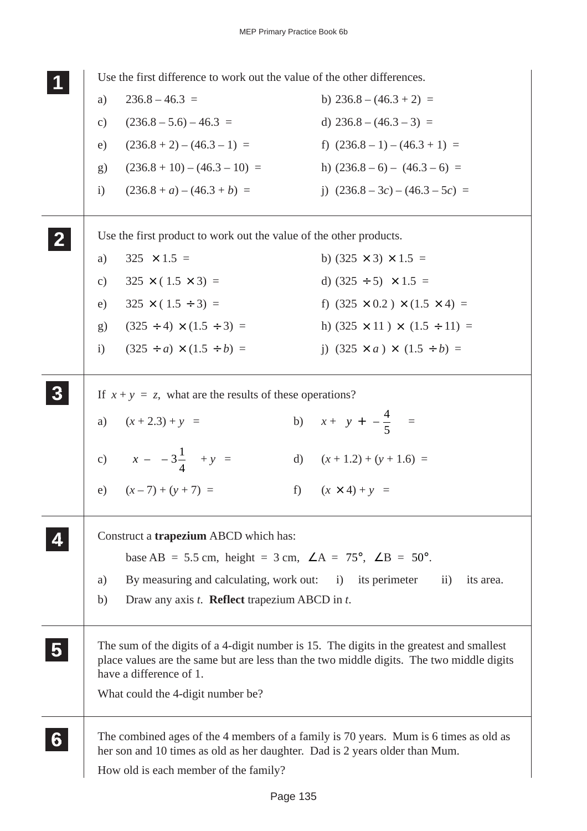Use the first difference to work out the value of the other differences. a)  $236.8 - 46.3 =$  b)  $236.8 - (46.3 + 2) =$ c)  $(236.8 - 5.6) - 46.3 =$  d)  $236.8 - (46.3 - 3) =$ e)  $(236.8 + 2) - (46.3 - 1) =$  f)  $(236.8 - 1) - (46.3 + 1) =$ g)  $(236.8 + 10) - (46.3 - 10) =$  h)  $(236.8 - 6) - (46.3 - 6) =$ i)  $(236.8 + a) - (46.3 + b) =$  j)  $(236.8 - 3c) - (46.3 - 5c) =$ Use the first product to work out the value of the other products. a)  $325 \times 1.5 =$  b)  $(325 \times 3) \times 1.5 =$ c)  $325 \times (1.5 \times 3) =$  d)  $(325 \div 5) \times 1.5 =$ e)  $325 \times (1.5 \div 3) =$  f)  $(325 \times 0.2) \times (1.5 \times 4) =$ g)  $(325 \div 4) \times (1.5 \div 3) =$  h)  $(325 \times 11) \times (1.5 \div 11) =$ i)  $(325 \div a) \times (1.5 \div b) =$  j)  $(325 \times a) \times (1.5 \div b) =$ If  $x + y = z$ , what are the results of these operations? a)  $(x+2.3) + y =$  b)  $x + y =$  $\overline{\phantom{a}}$  $\bigg)$ I  $\left[ y + \left( -\frac{4}{5} \right) \right]$  = c)  $x - (-3)^{\frac{1}{2}}$ 4 ſ l  $\mathcal{L}$  $\bigg)$ L  $\left[x-\left(-3\frac{1}{4}\right)\right]$ d)  $(x + 1.2) + (y + 1.6) =$ e)  $(x-7) + (y+7) =$  f)  $(x \times 4) + y =$ Construct a **trapezium** ABCD which has: base AB = 5.5 cm, height = 3 cm,  $\angle A = 75^\circ$ ,  $\angle B = 50^\circ$ . a) By measuring and calculating, work out: i) its perimeter ii) its area. b) Draw any axis *t*. **Reflect** trapezium ABCD in *t*. The sum of the digits of a 4-digit number is 15. The digits in the greatest and smallest place values are the same but are less than the two middle digits. The two middle digits have a difference of 1. What could the 4-digit number be? The combined ages of the 4 members of a family is 70 years. Mum is 6 times as old as her son and 10 times as old as her daughter. Dad is 2 years older than Mum. How old is each member of the family? **1 11 11 2 22 22 3 33 33 33 4 44 44 5 55 55 6 66 66 66**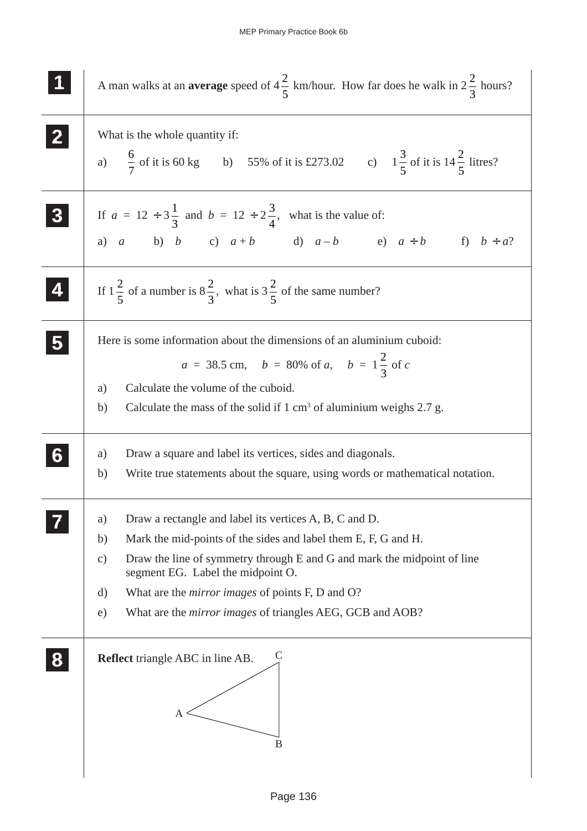| A man walks at an <b>average</b> speed of $4\frac{2}{5}$ km/hour. How far does he walk in $2\frac{2}{3}$ hours?                                                                                                                                                       |
|-----------------------------------------------------------------------------------------------------------------------------------------------------------------------------------------------------------------------------------------------------------------------|
| What is the whole quantity if:                                                                                                                                                                                                                                        |
| a) $\frac{6}{7}$ of it is 60 kg b) 55% of it is £273.02 c) $1\frac{3}{5}$ of it is $14\frac{2}{5}$ litres?                                                                                                                                                            |
| If $a = 12 \div 3\frac{1}{3}$ and $b = 12 \div 2\frac{3}{4}$ , what is the value of:<br>a) a b) b c) $a+b$ d) $a-b$ e) $a \div b$ f) $b \div a$ ?                                                                                                                     |
|                                                                                                                                                                                                                                                                       |
| If $1\frac{2}{5}$ of a number is $8\frac{2}{3}$ , what is $3\frac{2}{5}$ of the same number?                                                                                                                                                                          |
| Here is some information about the dimensions of an aluminium cuboid:<br>$a = 38.5$ cm, $b = 80\%$ of a, $b = 1\frac{2}{3}$ of c<br>Calculate the volume of the cuboid.<br>a)<br>Calculate the mass of the solid if $1 \text{ cm}^3$ of aluminium weighs 2.7 g.<br>b) |
| Draw a square and label its vertices, sides and diagonals.<br>a)<br>b)<br>Write true statements about the square, using words or mathematical notation.                                                                                                               |
| Draw a rectangle and label its vertices A, B, C and D.<br>a)                                                                                                                                                                                                          |
| Mark the mid-points of the sides and label them E, F, G and H.<br>b)<br>Draw the line of symmetry through E and G and mark the midpoint of line<br>c)<br>segment EG. Label the midpoint O.                                                                            |
| What are the <i>mirror images</i> of points F, D and O?<br>d)                                                                                                                                                                                                         |
| What are the <i>mirror images</i> of triangles AEG, GCB and AOB?<br>e)                                                                                                                                                                                                |
| <b>Reflect</b> triangle ABC in line AB.<br>Α<br>B                                                                                                                                                                                                                     |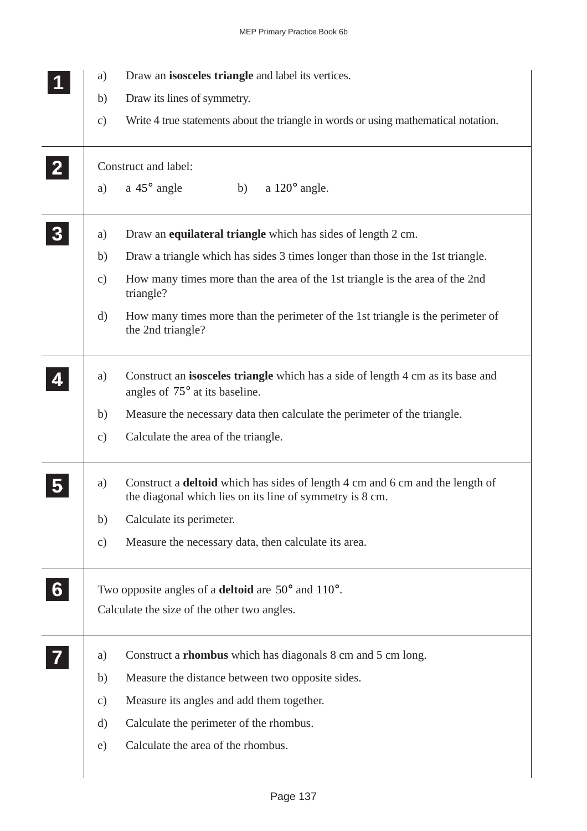|              | a)            | Draw an isosceles triangle and label its vertices.                                                                                               |
|--------------|---------------|--------------------------------------------------------------------------------------------------------------------------------------------------|
|              | b)            | Draw its lines of symmetry.                                                                                                                      |
|              | $\mathbf{c})$ | Write 4 true statements about the triangle in words or using mathematical notation.                                                              |
| $\mathbf{2}$ |               | Construct and label:                                                                                                                             |
|              | a)            | a $45^{\circ}$ angle<br>a $120^\circ$ angle.<br>b)                                                                                               |
| 3            | a)            | Draw an equilateral triangle which has sides of length 2 cm.                                                                                     |
|              | b)            | Draw a triangle which has sides 3 times longer than those in the 1st triangle.                                                                   |
|              | $\mathbf{c})$ | How many times more than the area of the 1st triangle is the area of the 2nd<br>triangle?                                                        |
|              | d)            | How many times more than the perimeter of the 1st triangle is the perimeter of<br>the 2nd triangle?                                              |
|              | a)            | Construct an isosceles triangle which has a side of length 4 cm as its base and<br>angles of 75° at its baseline.                                |
|              | b)            | Measure the necessary data then calculate the perimeter of the triangle.                                                                         |
|              | $\mathbf{c})$ | Calculate the area of the triangle.                                                                                                              |
|              | a)            | Construct a <b>deltoid</b> which has sides of length 4 cm and 6 cm and the length of<br>the diagonal which lies on its line of symmetry is 8 cm. |
|              | b)            | Calculate its perimeter.                                                                                                                         |
|              | $\mathbf{c})$ | Measure the necessary data, then calculate its area.                                                                                             |
| 6            |               | Two opposite angles of a <b>deltoid</b> are $50^{\circ}$ and $110^{\circ}$ .                                                                     |
|              |               | Calculate the size of the other two angles.                                                                                                      |
|              | a)            | Construct a <b>rhombus</b> which has diagonals 8 cm and 5 cm long.                                                                               |
|              | b)            | Measure the distance between two opposite sides.                                                                                                 |
|              | $\mathbf{c})$ | Measure its angles and add them together.                                                                                                        |
|              | d)            | Calculate the perimeter of the rhombus.                                                                                                          |
|              | e)            | Calculate the area of the rhombus.                                                                                                               |
|              |               |                                                                                                                                                  |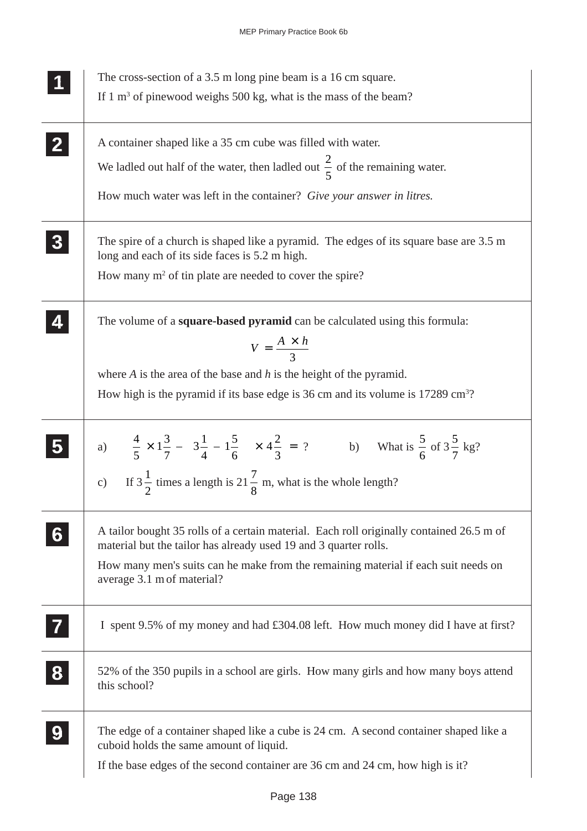|   | The cross-section of a 3.5 m long pine beam is a 16 cm square.                                                                                                                                                                                                                   |
|---|----------------------------------------------------------------------------------------------------------------------------------------------------------------------------------------------------------------------------------------------------------------------------------|
|   | If $1 \text{ m}^3$ of pinewood weighs 500 kg, what is the mass of the beam?                                                                                                                                                                                                      |
|   | A container shaped like a 35 cm cube was filled with water.                                                                                                                                                                                                                      |
|   | We ladled out half of the water, then ladled out $\frac{2}{5}$ of the remaining water.                                                                                                                                                                                           |
|   | How much water was left in the container? Give your answer in litres.                                                                                                                                                                                                            |
|   | The spire of a church is shaped like a pyramid. The edges of its square base are 3.5 m<br>long and each of its side faces is 5.2 m high.                                                                                                                                         |
|   | How many $m^2$ of tin plate are needed to cover the spire?                                                                                                                                                                                                                       |
|   | The volume of a square-based pyramid can be calculated using this formula:<br>$V = \frac{A \times h}{3}$                                                                                                                                                                         |
|   | where $A$ is the area of the base and $h$ is the height of the pyramid.                                                                                                                                                                                                          |
|   | How high is the pyramid if its base edge is 36 cm and its volume is $17289 \text{ cm}^3$ ?                                                                                                                                                                                       |
|   | a) $\left[\frac{4}{5} \times 1\frac{3}{7} - \left(3\frac{1}{4} - 1\frac{5}{6}\right)\right] \times 4\frac{2}{3} = ?$ b) What is $\frac{5}{6}$ of $3\frac{5}{7}$ kg?<br>c) If $3\frac{1}{2}$ times a length is $21\frac{7}{8}$ m, what is the whole length?                       |
|   | A tailor bought 35 rolls of a certain material. Each roll originally contained 26.5 m of<br>material but the tailor has already used 19 and 3 quarter rolls.<br>How many men's suits can he make from the remaining material if each suit needs on<br>average 3.1 m of material? |
|   | I spent 9.5% of my money and had £304.08 left. How much money did I have at first?                                                                                                                                                                                               |
| 8 | 52% of the 350 pupils in a school are girls. How many girls and how many boys attend<br>this school?                                                                                                                                                                             |
| 9 | The edge of a container shaped like a cube is 24 cm. A second container shaped like a<br>cuboid holds the same amount of liquid.                                                                                                                                                 |
|   | If the base edges of the second container are 36 cm and 24 cm, how high is it?                                                                                                                                                                                                   |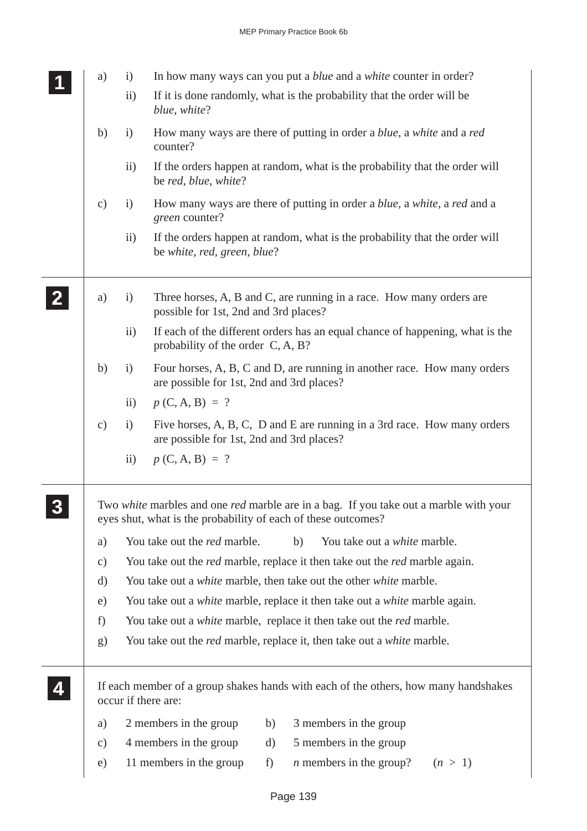|                | a)            | $\mathbf{i}$                                                                              |                                                                                                               |                                                                          | In how many ways can you put a <i>blue</i> and a <i>white</i> counter in order?                 |  |  |
|----------------|---------------|-------------------------------------------------------------------------------------------|---------------------------------------------------------------------------------------------------------------|--------------------------------------------------------------------------|-------------------------------------------------------------------------------------------------|--|--|
|                |               | ii)                                                                                       | blue, white?                                                                                                  |                                                                          | If it is done randomly, what is the probability that the order will be                          |  |  |
|                | b)            | i)                                                                                        | counter?                                                                                                      |                                                                          | How many ways are there of putting in order a <i>blue</i> , a <i>white</i> and a <i>red</i>     |  |  |
|                |               | $\mathbf{ii}$                                                                             | be red, blue, white?                                                                                          |                                                                          | If the orders happen at random, what is the probability that the order will                     |  |  |
|                | $\mathbf{c})$ | i)                                                                                        | green counter?                                                                                                |                                                                          | How many ways are there of putting in order a <i>blue</i> , a <i>white</i> , a <i>red</i> and a |  |  |
|                |               | $\rm ii)$                                                                                 | be white, red, green, blue?                                                                                   |                                                                          | If the orders happen at random, what is the probability that the order will                     |  |  |
| $\mathbf{2}$ . | a)            | $\ddot{1}$                                                                                | Three horses, A, B and C, are running in a race. How many orders are<br>possible for 1st, 2nd and 3rd places? |                                                                          |                                                                                                 |  |  |
|                |               | $\mathbf{ii}$                                                                             | probability of the order C, A, B?                                                                             |                                                                          | If each of the different orders has an equal chance of happening, what is the                   |  |  |
|                | b)            | $\mathbf{i}$                                                                              | are possible for 1st, 2nd and 3rd places?                                                                     |                                                                          | Four horses, A, B, C and D, are running in another race. How many orders                        |  |  |
|                |               | $\mathbf{ii}$                                                                             | $p(C, A, B) = ?$                                                                                              |                                                                          |                                                                                                 |  |  |
|                | $\mathbf{c})$ | $\mathbf{i}$                                                                              | are possible for 1st, 2nd and 3rd places?                                                                     | Five horses, A, B, C, D and E are running in a 3rd race. How many orders |                                                                                                 |  |  |
|                |               | $\mathbf{ii}$                                                                             | $p(C, A, B) = ?$                                                                                              |                                                                          |                                                                                                 |  |  |
|                |               |                                                                                           | eyes shut, what is the probability of each of these outcomes?                                                 |                                                                          | Two white marbles and one red marble are in a bag. If you take out a marble with your           |  |  |
|                | a)            |                                                                                           | You take out the <i>red</i> marble.                                                                           |                                                                          | b)<br>You take out a white marble.                                                              |  |  |
|                | $\mathbf{c})$ |                                                                                           |                                                                                                               |                                                                          | You take out the <i>red</i> marble, replace it then take out the <i>red</i> marble again.       |  |  |
|                | d)            | You take out a <i>white</i> marble, then take out the other <i>white</i> marble.          |                                                                                                               |                                                                          |                                                                                                 |  |  |
|                | e)            | You take out a <i>white</i> marble, replace it then take out a <i>white</i> marble again. |                                                                                                               |                                                                          |                                                                                                 |  |  |
|                | f)            |                                                                                           |                                                                                                               |                                                                          | You take out a <i>white</i> marble, replace it then take out the <i>red</i> marble.             |  |  |
|                | g)            |                                                                                           |                                                                                                               |                                                                          | You take out the <i>red</i> marble, replace it, then take out a <i>white</i> marble.            |  |  |
|                |               |                                                                                           | occur if there are:                                                                                           |                                                                          | If each member of a group shakes hands with each of the others, how many handshakes             |  |  |
|                | a)            |                                                                                           | 2 members in the group                                                                                        | b)                                                                       | 3 members in the group                                                                          |  |  |
|                | c)            |                                                                                           | 4 members in the group                                                                                        | d)                                                                       | 5 members in the group                                                                          |  |  |
|                | e)            |                                                                                           | 11 members in the group                                                                                       | f)                                                                       | $n$ members in the group?<br>(n > 1)                                                            |  |  |
|                |               |                                                                                           |                                                                                                               |                                                                          |                                                                                                 |  |  |